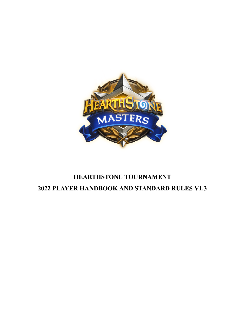

# **HEARTHSTONE TOURNAMENT 2022 PLAYER HANDBOOK AND STANDARD RULES V1.3**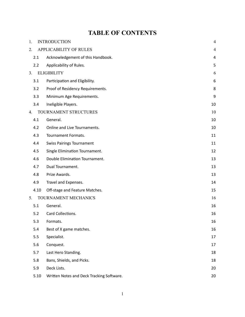# **TABLE OF CONTENTS**

| 1. |      | <b>INTRODUCTION</b>                       | $\overline{4}$ |
|----|------|-------------------------------------------|----------------|
| 2. |      | <b>APPLICABILITY OF RULES</b>             | 4              |
|    | 2.1  | Acknowledgement of this Handbook.         | 4              |
|    | 2.2  | Applicability of Rules.                   | 5              |
| 3. |      | <b>ELIGIBILITY</b>                        | 6              |
|    | 3.1  | Participation and Eligibility.            | 6              |
|    | 3.2  | Proof of Residency Requirements.          | 8              |
|    | 3.3  | Minimum Age Requirements.                 | 9              |
|    | 3.4  | Ineligible Players.                       | 10             |
| 4. |      | TOURNAMENT STRUCTURES                     | 10             |
|    | 4.1  | General.                                  | 10             |
|    | 4.2  | Online and Live Tournaments.              | 10             |
|    | 4.3  | Tournament Formats.                       | 11             |
|    | 4.4  | <b>Swiss Pairings Tournament</b>          | 11             |
|    | 4.5  | Single Elimination Tournament.            | 12             |
|    | 4.6  | Double Elimination Tournament.            | 13             |
|    | 4.7  | Dual Tournament.                          | 13             |
|    | 4.8  | Prize Awards.                             | 13             |
|    | 4.9  | Travel and Expenses.                      | 14             |
|    | 4.10 | Off-stage and Feature Matches.            | 15             |
| 5. |      | TOURNAMENT MECHANICS                      | 16             |
|    | 5.1  | General.                                  | 16             |
|    | 5.2  | Card Collections.                         | 16             |
|    | 5.3  | Formats.                                  | 16             |
|    | 5.4  | Best of X game matches.                   | 16             |
|    | 5.5  | Specialist.                               | 17             |
|    | 5.6  | Conquest.                                 | 17             |
|    | 5.7  | Last Hero Standing.                       | 18             |
|    | 5.8  | Bans, Shields, and Picks.                 | 18             |
|    | 5.9  | Deck Lists.                               | 20             |
|    | 5.10 | Written Notes and Deck Tracking Software. | 20             |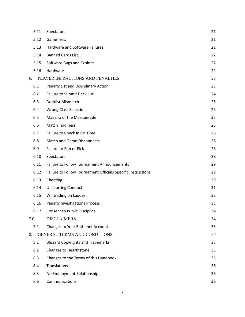| 5.11 | Spectators.                                                  | 21 |
|------|--------------------------------------------------------------|----|
| 5.12 | Game Ties.                                                   | 21 |
| 5.13 | Hardware and Software Failures.                              | 21 |
| 5.14 | Banned Cards List.                                           | 22 |
| 5.15 | Software Bugs and Exploits                                   | 22 |
| 5.16 | Hardware                                                     | 22 |
| 6.   | PLAYER INFRACTIONS AND PENALTIES                             | 23 |
| 6.1  | Penalty List and Disciplinary Action                         | 23 |
| 6.2  | Failure to Submit Deck List                                  | 24 |
| 6.3  | Decklist Mismatch                                            | 25 |
| 6.4  | <b>Wrong Class Selection</b>                                 | 25 |
| 6.5  | Maestra of the Masquerade                                    | 25 |
| 6.6  | <b>Match Tardiness</b>                                       | 25 |
| 6.7  | Failure to Check In On Time                                  | 26 |
| 6.8  | <b>Match and Game Disconnects</b>                            | 26 |
| 6.9  | Failure to Ban or Pick                                       | 28 |
| 6.10 | Spectators                                                   | 28 |
| 6.11 | <b>Failure to Follow Tournament Announcements</b>            | 29 |
| 6.12 | Failure to Follow Tournament Officials Specific Instructions | 29 |
| 6.13 | Cheating                                                     | 29 |
| 6.14 | <b>Unsporting Conduct</b>                                    | 31 |
| 6.15 | Wintrading on Ladder                                         | 32 |
| 6.16 | <b>Penalty Investigations Process</b>                        | 33 |
| 6.17 | <b>Consent to Public Discipline</b>                          | 34 |
| 7.0  | <b>DISCLAIMERS</b>                                           | 34 |
| 7.1  | <b>Changes to Your Battlenet Account</b>                     | 35 |
| 8.   | <b>GENERAL TERMS AND CONDITIONS</b>                          | 35 |
| 8.1  | <b>Blizzard Copyrights and Trademarks</b>                    | 35 |
| 8.2  | Changes to Hearthstone.                                      | 35 |
| 8.3  | Changes to the Terms of this Handbook                        | 35 |
| 8.4  | Translations                                                 | 36 |
| 8.5  | No Employment Relationship                                   | 36 |
| 8.6  | Communications                                               | 36 |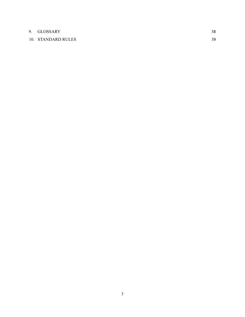# 9. GLOSSARY [3](#page-34-1)8

# 10. STANDARD RULES 39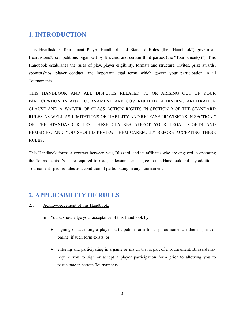# <span id="page-4-0"></span>**1. INTRODUCTION**

This Hearthstone Tournament Player Handbook and Standard Rules (the "Handbook") govern all Hearthstone® competitions organized by Blizzard and certain third parties (the "Tournament(s)"). This Handbook establishes the rules of play, player eligibility, formats and structure, invites, prize awards, sponsorships, player conduct, and important legal terms which govern your participation in all Tournaments.

THIS HANDBOOK AND ALL DISPUTES RELATED TO OR ARISING OUT OF YOUR PARTICIPATION IN ANY TOURNAMENT ARE GOVERNED BY A BINDING ARBITRATION CLAUSE AND A WAIVER OF CLASS ACTION RIGHTS IN SECTION 9 OF THE STANDARD RULES AS WELL AS LIMITATIONS OF LIABILITY AND RELEASE PROVISIONS IN SECTION 7 OF THE STANDARD RULES. THESE CLAUSES AFFECT YOUR LEGAL RIGHTS AND REMEDIES, AND YOU SHOULD REVIEW THEM CAREFULLY BEFORE ACCEPTING THESE RULES.

This Handbook forms a contract between you, Blizzard, and its affiliates who are engaged in operating the Tournaments. You are required to read, understand, and agree to this Handbook and any additional Tournament-specific rules as a condition of participating in any Tournament.

# <span id="page-4-1"></span>**2. APPLICABILITY OF RULES**

- <span id="page-4-2"></span>2.1 Acknowledgement of this Handbook.
	- You acknowledge your acceptance of this Handbook by:
		- signing or accepting a player participation form for any Tournament, either in print or online, if such form exists; or
		- entering and participating in a game or match that is part of a Tournament. Blizzard may require you to sign or accept a player participation form prior to allowing you to participate in certain Tournaments.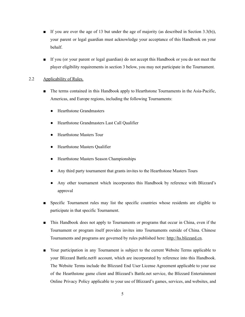- If you are over the age of 13 but under the age of majority (as described in Section 3.3(b)), your parent or legal guardian must acknowledge your acceptance of this Handbook on your behalf.
- If you (or your parent or legal guardian) do not accept this Handbook or you do not meet the player eligibility requirements in section 3 below, you may not participate in the Tournament.

#### <span id="page-5-0"></span>2.2 Applicability of Rules.

- The terms contained in this Handbook apply to Hearthstone Tournaments in the Asia-Pacific, Americas, and Europe regions, including the following Tournaments:
	- Hearthstone Grandmasters
	- Hearthstone Grandmasters Last Call Qualifier
	- **Hearthstone Masters Tour**
	- **Hearthstone Masters Qualifier**
	- Hearthstone Masters Season Championships
	- Any third party tournament that grants invites to the Hearthstone Masters Tours
	- Any other tournament which incorporates this Handbook by reference with Blizzard's approval
- Specific Tournament rules may list the specific countries whose residents are eligible to participate in that specific Tournament.
- This Handbook does not apply to Tournaments or programs that occur in China, even if the Tournament or program itself provides invites into Tournaments outside of China. Chinese Tournaments and programs are governed by rules published here: [http://hs.blizzard.cn](http://hs.blizzard.cn/).
- Your participation in any Tournament is subject to the current Website Terms applicable to your Blizzard Battle.net® account, which are incorporated by reference into this Handbook. The Website Terms include the Blizzard End User License Agreement applicable to your use of the Hearthstone game client and Blizzard's Battle.net service, the Blizzard Entertainment Online Privacy Policy applicable to your use of Blizzard's games, services, and websites, and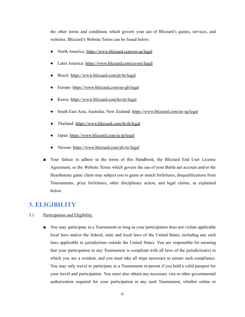the other terms and conditions which govern your use of Blizzard's games, services, and websites. Blizzard's Website Terms can be found below:

- North America: <https://www.blizzard.com/en-us/legal>
- Latin America: <https://www.blizzard.com/es-mx/legal>
- Brazil: <https://www.blizzard.com/pt-br/legal>
- Europe: <https://www.blizzard.com/en-gb/legal>
- Korea: <https://www.blizzard.com/ko-kr/legal>
- South East Asia, Australia, New Zealand: <https://www.blizzard.com/en-sg/legal>
- Thailand: <https://www.blizzard.com/th-th/legal>
- Japan: <https://www.blizzard.com/ja-jp/legal>
- Taiwan: <https://www.blizzard.com/zh-tw/legal>
- Your failure to adhere to the terms of this Handbook, the Blizzard End User License Agreement, or the Website Terms which govern the use of your Battle.net account and/or the Hearthstone game client may subject you to game or match forfeitures, disqualifications from Tournaments, prize forfeitures, other disciplinary action, and legal claims, as explained below.

# <span id="page-6-0"></span>**3. ELIGIBILITY**

#### <span id="page-6-1"></span>3.1 Participation and Eligibility.

■ You may participate in a Tournament so long as your participation does not violate applicable local laws and/or the federal, state and local laws of the United States, including any such laws applicable to jurisdictions outside the United States. You are responsible for ensuring that your participation in any Tournament is compliant with all laws of the jurisdiction(s) in which you are a resident, and you must take all steps necessary to ensure such compliance. You may only travel to participate in a Tournament in-person if you hold a valid passport for your travel and participation. You must also obtain any necessary visa or other governmental authorization required for your participation in any such Tournament, whether online or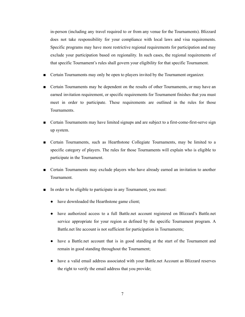in-person (including any travel required to or from any venue for the Tournaments). Blizzard does not take responsibility for your compliance with local laws and visa requirements. Specific programs may have more restrictive regional requirements for participation and may exclude your participation based on regionality. In such cases, the regional requirements of that specific Tournament's rules shall govern your eligibility for that specific Tournament.

- Certain Tournaments may only be open to players invited by the Tournament organizer.
- Certain Tournaments may be dependent on the results of other Tournaments, or may have an earned invitation requirement, or specific requirements for Tournament finishes that you must meet in order to participate. These requirements are outlined in the rules for those Tournaments.
- Certain Tournaments may have limited signups and are subject to a first-come-first-serve sign up system.
- Certain Tournaments, such as Hearthstone Collegiate Tournaments, may be limited to a specific category of players. The rules for those Tournaments will explain who is eligible to participate in the Tournament.
- Certain Tournaments may exclude players who have already earned an invitation to another Tournament.
- In order to be eligible to participate in any Tournament, you must:
	- have downloaded the Hearthstone game client;
	- have authorized access to a full Battle.net account registered on Blizzard's Battle.net service appropriate for your region as defined by the specific Tournament program. A Battle.net lite account is not sufficient for participation in Tournaments;
	- have a Battle.net account that is in good standing at the start of the Tournament and remain in good standing throughout the Tournament;
	- have a valid email address associated with your Battle.net Account as Blizzard reserves the right to verify the email address that you provide;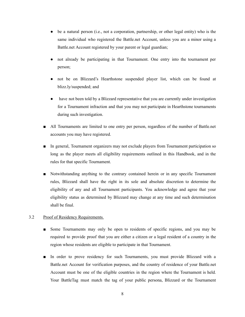- be a natural person (i.e., not a corporation, partnership, or other legal entity) who is the same individual who registered the Battle.net Account, unless you are a minor using a Battle.net Account registered by your parent or legal guardian;
- not already be participating in that Tournament. One entry into the tournament per person;
- not be on Blizzard's Hearthstone suspended player list, which can be found at blizz.ly/suspended; and
- have not been told by a Blizzard representative that you are currently under investigation for a Tournament infraction and that you may not participate in Hearthstone tournaments during such investigation.
- All Tournaments are limited to one entry per person, regardless of the number of Battle.net accounts you may have registered.
- In general, Tournament organizers may not exclude players from Tournament participation so long as the player meets all eligibility requirements outlined in this Handbook, and in the rules for that specific Tournament.
- Notwithstanding anything to the contrary contained herein or in any specific Tournament rules, Blizzard shall have the right in its sole and absolute discretion to determine the eligibility of any and all Tournament participants. You acknowledge and agree that your eligibility status as determined by Blizzard may change at any time and such determination shall be final.

## <span id="page-8-0"></span>3.2 Proof of Residency Requirements.

- Some Tournaments may only be open to residents of specific regions, and you may be required to provide proof that you are either a citizen or a legal resident of a country in the region whose residents are eligible to participate in that Tournament.
- In order to prove residency for such Tournaments, you must provide Blizzard with a Battle.net Account for verification purposes, and the country of residence of your Battle.net Account must be one of the eligible countries in the region where the Tournament is held. Your BattleTag must match the tag of your public persona, Blizzard or the Tournament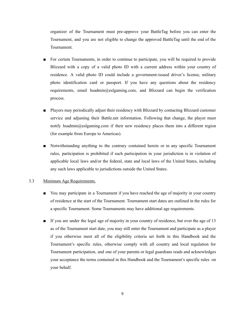organizer of the Tournament must pre-approve your BattleTag before you can enter the Tournament, and you are not eligible to change the approved BattleTag until the end of the Tournament.

- For certain Tournaments, in order to continue to participate, you will be required to provide Blizzard with a copy of a valid photo ID with a current address within your country of residence. A valid photo ID could include a government-issued driver's license, military photo identification card or passport. If you have any questions about the residency requirements, email hsadmin@eslgaming.com, and Blizzard can begin the verification process.
- Players may periodically adjust their residency with Blizzard by contacting Blizzard customer service and adjusting their Battle.net information. Following that change, the player must notify hsadmin@eslgaming.com if their new residency places them into a different region (for example from Europe to Americas).
- Notwithstanding anything to the contrary contained herein or in any specific Tournament rules, participation is prohibited if such participation in your jurisdiction is in violation of applicable local laws and/or the federal, state and local laws of the United States, including any such laws applicable to jurisdictions outside the United States.

#### <span id="page-9-0"></span>3.3 Minimum Age Requirements.

- You may participate in a Tournament if you have reached the age of majority in your country of residence at the start of the Tournament. Tournament start dates are outlined in the rules for a specific Tournament. Some Tournaments may have additional age requirements.
- If you are under the legal age of majority in your country of residence, but over the age of 13 as of the Tournament start date, you may still enter the Tournament and participate as a player if you otherwise meet all of the eligibility criteria set forth in this Handbook and the Tournament's specific rules, otherwise comply with all country and local regulation for Tournament participation, and one of your parents or legal guardians reads and acknowledges your acceptance the terms contained in this Handbook and the Tournament's specific rules on your behalf.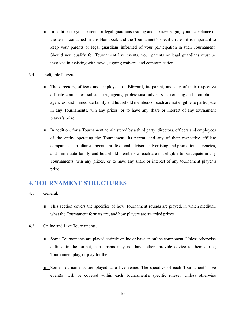■ In addition to your parents or legal guardians reading and acknowledging your acceptance of the terms contained in this Handbook and the Tournament's specific rules, it is important to keep your parents or legal guardians informed of your participation in such Tournament. Should you qualify for Tournament live events, your parents or legal guardians must be involved in assisting with travel, signing waivers, and communication.

#### <span id="page-10-0"></span>3.4 Ineligible Players.

- The directors, officers and employees of Blizzard, its parent, and any of their respective affiliate companies, subsidiaries, agents, professional advisors, advertising and promotional agencies, and immediate family and household members of each are not eligible to participate in any Tournaments, win any prizes, or to have any share or interest of any tournament player's prize.
- In addition, for a Tournament administered by a third party; directors, officers and employees of the entity operating the Tournament, its parent, and any of their respective affiliate companies, subsidiaries, agents, professional advisors, advertising and promotional agencies, and immediate family and household members of each are not eligible to participate in any Tournaments, win any prizes, or to have any share or interest of any tournament player's prize.

# **4. TOURNAMENT STRUCTURES**

- <span id="page-10-1"></span>4.1 General.
	- This section covers the specifics of how Tournament rounds are played, in which medium, what the Tournament formats are, and how players are awarded prizes.

#### <span id="page-10-2"></span>4.2 Online and Live Tournaments.

- Some Tournaments are played entirely online or have an online component. Unless otherwise defined in the format, participants may not have others provide advice to them during Tournament play, or play for them.
- Some Tournaments are played at a live venue. The specifics of each Tournament's live event(s) will be covered within each Tournament's specific ruleset. Unless otherwise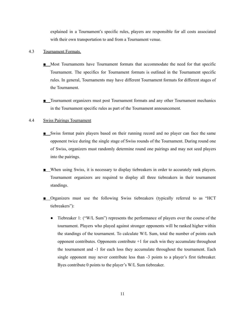explained in a Tournament's specific rules, players are responsible for all costs associated with their own transportation to and from a Tournament venue.

### <span id="page-11-0"></span>4.3 Tournament Formats.

- Most Tournaments have Tournament formats that accommodate the need for that specific Tournament. The specifics for Tournament formats is outlined in the Tournament specific rules. In general, Tournaments may have different Tournament formats for different stages of the Tournament.
- Tournament organizers must post Tournament formats and any other Tournament mechanics in the Tournament specific rules as part of the Tournament announcement.

#### <span id="page-11-1"></span>4.4 Swiss Pairings Tournament

- Swiss format pairs players based on their running record and no player can face the same opponent twice during the single stage of Swiss rounds of the Tournament. During round one of Swiss, organizers must randomly determine round one pairings and may not seed players into the pairings.
- When using Swiss, it is necessary to display tiebreakers in order to accurately rank players. Tournament organizers are required to display all three tiebreakers in their tournament standings.
- Organizers must use the following Swiss tiebreakers (typically referred to as "HCT tiebreakers"):
	- Tiebreaker 1: ("W/L Sum") represents the performance of players over the course of the tournament. Players who played against stronger opponents will be ranked higher within the standings of the tournament. To calculate W/L Sum, total the number of points each opponent contributes. Opponents contribute  $+1$  for each win they accumulate throughout the tournament and -1 for each loss they accumulate throughout the tournament. Each single opponent may never contribute less than -3 points to a player's first tiebreaker. Byes contribute 0 points to the player's W/L Sum tiebreaker.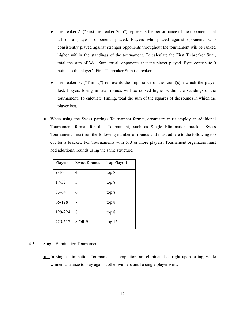- Tiebreaker 2: ("First Tiebreaker Sum") represents the performance of the opponents that all of a player's opponents played. Players who played against opponents who consistently played against stronger opponents throughout the tournament will be ranked higher within the standings of the tournament. To calculate the First Tiebreaker Sum, total the sum of W/L Sum for all opponents that the player played. Byes contribute 0 points to the player's First Tiebreaker Sum tiebreaker.
- Tiebreaker 3: ("Timing") represents the importance of the round(s) in which the player lost. Players losing in later rounds will be ranked higher within the standings of the tournament. To calculate Timing, total the sum of the squares of the rounds in which the player lost.
- When using the Swiss pairings Tournament format, organizers must employ an additional Tournament format for that Tournament, such as Single Elimination bracket. Swiss Tournaments must run the following number of rounds and must adhere to the following top cut for a bracket. For Tournaments with 513 or more players, Tournament organizers must add additional rounds using the same structure.

| Players   | Swiss Rounds | Top Playoff |
|-----------|--------------|-------------|
| $9 - 16$  | 4            | top 8       |
| 17-32     | 5            | top 8       |
| $33 - 64$ | 6            | top 8       |
| 65-128    | 7            | top 8       |
| 129-224   | 8            | top 8       |
| 225-512   | 8 OR 9       | top 16      |

#### <span id="page-12-0"></span>4.5 Single Elimination Tournament.

■ In single elimination Tournaments, competitors are eliminated outright upon losing, while winners advance to play against other winners until a single player wins.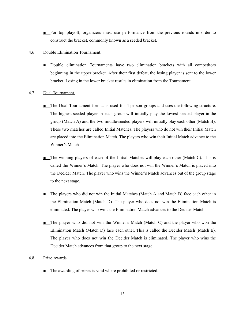■ For top playoff, organizers must use performance from the previous rounds in order to construct the bracket, commonly known as a seeded bracket.

#### <span id="page-13-0"></span>4.6 Double Elimination Tournament.

■ Double elimination Tournaments have two elimination brackets with all competitors beginning in the upper bracket. After their first defeat, the losing player is sent to the lower bracket. Losing in the lower bracket results in elimination from the Tournament.

#### <span id="page-13-1"></span>4.7 Dual Tournament.

- The Dual Tournament format is used for 4-person groups and uses the following structure. The highest-seeded player in each group will initially play the lowest seeded player in the group (Match A) and the two middle-seeded players will initially play each other (Match B). These two matches are called Initial Matches. The players who do not win their Initial Match are placed into the Elimination Match. The players who win their Initial Match advance to the Winner's Match.
- The winning players of each of the Initial Matches will play each other (Match C). This is called the Winner's Match. The player who does not win the Winner's Match is placed into the Decider Match. The player who wins the Winner's Match advances out of the group stage to the next stage.
- The players who did not win the Initial Matches (Match A and Match B) face each other in the Elimination Match (Match D). The player who does not win the Elimination Match is eliminated. The player who wins the Elimination Match advances to the Decider Match.
- The player who did not win the Winner's Match (Match C) and the player who won the Elimination Match (Match D) face each other. This is called the Decider Match (Match E). The player who does not win the Decider Match is eliminated. The player who wins the Decider Match advances from that group to the next stage.

#### <span id="page-13-2"></span>4.8 Prize Awards.

■ The awarding of prizes is void where prohibited or restricted.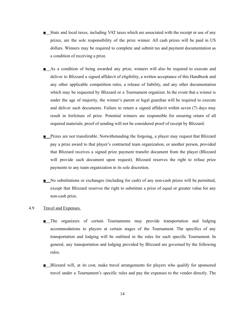- State and local taxes, including VAT taxes which are associated with the receipt or use of any prizes, are the sole responsibility of the prize winner. All cash prizes will be paid in US dollars. Winners may be required to complete and submit tax and payment documentation as a condition of receiving a prize.
- As a condition of being awarded any prize, winners will also be required to execute and deliver to Blizzard a signed affidavit of eligibility, a written acceptance of this Handbook and any other applicable competition rules, a release of liability, and any other documentation which may be requested by Blizzard or a Tournament organizer. In the event that a winner is under the age of majority, the winner's parent or legal guardian will be required to execute and deliver such documents. Failure to return a signed affidavit within seven (7) days may result in forfeiture of prize. Potential winners are responsible for ensuring return of all required materials; proof of sending will not be considered proof of receipt by Blizzard.
- Prizes are not transferable. Notwithstanding the forgoing, a player may request that Blizzard pay a prize award to that player's contracted team organization, or another person, provided that Blizzard receives a signed prize payment transfer document from the player (Blizzard will provide such document upon request). Blizzard reserves the right to refuse prize payments to any team organization in its sole discretion.
- No substitutions or exchanges (including for cash) of any non-cash prizes will be permitted, except that Blizzard reserves the right to substitute a prize of equal or greater value for any non-cash prize.

#### <span id="page-14-0"></span>4.9 Travel and Expenses.

- The organizers of certain Tournaments may provide transportation and lodging accommodations to players at certain stages of the Tournament. The specifics of any transportation and lodging will be outlined in the rules for each specific Tournament. In general, any transportation and lodging provided by Blizzard are governed by the following rules.
- Blizzard will, at its cost, make travel arrangements for players who qualify for sponsored travel under a Tournament's specific rules and pay the expenses to the vendor directly. The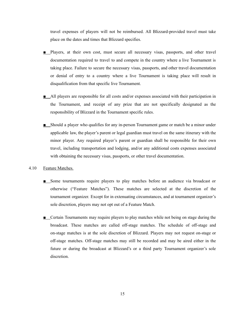travel expenses of players will not be reimbursed. All Blizzard-provided travel must take place on the dates and times that Blizzard specifies.

- Players, at their own cost, must secure all necessary visas, passports, and other travel documentation required to travel to and compete in the country where a live Tournament is taking place. Failure to secure the necessary visas, passports, and other travel documentation or denial of entry to a country where a live Tournament is taking place will result in disqualification from that specific live Tournament.
- All players are responsible for all costs and/or expenses associated with their participation in the Tournament, and receipt of any prize that are not specifically designated as the responsibility of Blizzard in the Tournament specific rules.
- Should a player who qualifies for any in-person Tournament game or match be a minor under applicable law, the player's parent or legal guardian must travel on the same itinerary with the minor player. Any required player's parent or guardian shall be responsible for their own travel, including transportation and lodging, and/or any additional costs expenses associated with obtaining the necessary visas, passports, or other travel documentation.

#### <span id="page-15-0"></span>4.10 Feature Matches.

- Some tournaments require players to play matches before an audience via broadcast or otherwise ("Feature Matches"). These matches are selected at the discretion of the tournament organizer. Except for in extenuating circumstances, and at tournament organizer's sole discretion, players may not opt out of a Feature Match.
- Certain Tournaments may require players to play matches while not being on stage during the broadcast. These matches are called off-stage matches. The schedule of off-stage and on-stage matches is at the sole discretion of Blizzard. Players may not request on-stage or off-stage matches. Off-stage matches may still be recorded and may be aired either in the future or during the broadcast at Blizzard's or a third party Tournament organizer's sole discretion.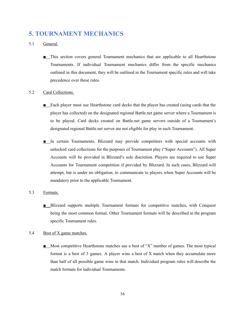# <span id="page-16-0"></span>**5. TOURNAMENT MECHANICS**

## <span id="page-16-1"></span>5.1 General.

■ This section covers general Tournament mechanics that are applicable to all Hearthstone Tournaments. If individual Tournament mechanics differ from the specific mechanics outlined in this document, they will be outlined in the Tournament specific rules and will take precedence over these rules.

#### <span id="page-16-2"></span>5.2 Card Collections.

- Each player must use Hearthstone card decks that the player has created (using cards that the player has collected) on the designated regional Battle.net game server where a Tournament is to be played. Card decks created on Battle.net game servers outside of a Tournament's designated regional Battle.net server are not eligible for play in such Tournament.
- In certain Tournaments, Blizzard may provide competitors with special accounts with unlocked card collections for the purposes of Tournament play ("Super Accounts"). All Super Accounts will be provided in Blizzard's sole discretion. Players are required to use Super Accounts for Tournament competition if provided by Blizzard. In such cases, Blizzard will attempt, but is under no obligation, to communicate to players when Super Accounts will be mandatory prior to the applicable Tournament.

#### <span id="page-16-3"></span>5.3 Formats.

■ Blizzard supports multiple Tournament formats for competitive matches, with Conquest being the most common format. Other Tournament formats will be described in the program specific Tournament rules.

#### <span id="page-16-4"></span>5.4 Best of X game matches.

■ Most competitive Hearthstone matches use a best of "X" number of games. The most typical format is a best of 3 games. A player wins a best of X match when they accumulate more than half of all possible game wins in that match. Individual program rules will describe the match formats for individual Tournaments.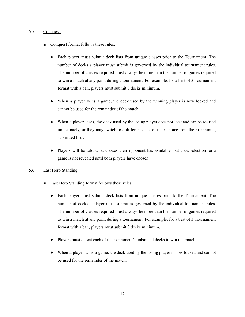#### <span id="page-17-0"></span>5.5 Conquest.

- Conquest format follows these rules:
	- Each player must submit deck lists from unique classes prior to the Tournament. The number of decks a player must submit is governed by the individual tournament rules. The number of classes required must always be more than the number of games required to win a match at any point during a tournament. For example, for a best of 3 Tournament format with a ban, players must submit 3 decks minimum.
	- When a player wins a game, the deck used by the winning player is now locked and cannot be used for the remainder of the match.
	- When a player loses, the deck used by the losing player does not lock and can be re-used immediately, or they may switch to a different deck of their choice from their remaining submitted lists.
	- Players will be told what classes their opponent has available, but class selection for a game is not revealed until both players have chosen.

## <span id="page-17-1"></span>5.6 Last Hero Standing.

- Last Hero Standing format follows these rules:
	- Each player must submit deck lists from unique classes prior to the Tournament. The number of decks a player must submit is governed by the individual tournament rules. The number of classes required must always be more than the number of games required to win a match at any point during a tournament. For example, for a best of 3 Tournament format with a ban, players must submit 3 decks minimum.
	- Players must defeat each of their opponent's unbanned decks to win the match.
	- When a player wins a game, the deck used by the losing player is now locked and cannot be used for the remainder of the match.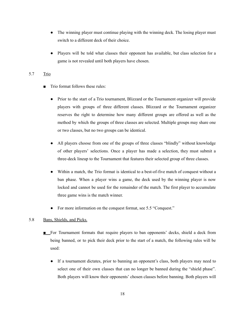- The winning player must continue playing with the winning deck. The losing player must switch to a different deck of their choice.
- Players will be told what classes their opponent has available, but class selection for a game is not revealed until both players have chosen.

# 5.7 Trio

- Trio format follows these rules:
	- Prior to the start of a Trio tournament, Blizzard or the Tournament organizer will provide players with groups of three different classes. Blizzard or the Tournament organizer reserves the right to determine how many different groups are offered as well as the method by which the groups of three classes are selected. Multiple groups may share one or two classes, but no two groups can be identical.
	- All players choose from one of the groups of three classes "blindly" without knowledge of other players' selections. Once a player has made a selection, they must submit a three-deck lineup to the Tournament that features their selected group of three classes.
	- Within a match, the Trio format is identical to a best-of-five match of conquest without a ban phase. When a player wins a game, the deck used by the winning player is now locked and cannot be used for the remainder of the match. The first player to accumulate three game wins is the match winner.
	- For more information on the conquest format, see 5.5 "Conquest."

## <span id="page-18-0"></span>5.8 Bans, Shields, and Picks.

- For Tournament formats that require players to ban opponents' decks, shield a deck from being banned, or to pick their deck prior to the start of a match, the following rules will be used:
	- If a tournament dictates, prior to banning an opponent's class, both players may need to select one of their own classes that can no longer be banned during the "shield phase". Both players will know their opponents' chosen classes before banning. Both players will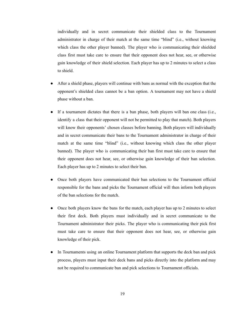individually and in secret communicate their shielded class to the Tournament administrator in charge of their match at the same time "blind" (i.e., without knowing which class the other player banned). The player who is communicating their shielded class first must take care to ensure that their opponent does not hear, see, or otherwise gain knowledge of their shield selection. Each player has up to 2 minutes to select a class to shield.

- After a shield phase, players will continue with bans as normal with the exception that the opponent's shielded class cannot be a ban option. A tournament may not have a shield phase without a ban.
- If a tournament dictates that there is a ban phase, both players will ban one class (i.e., identify a class that their opponent will not be permitted to play that match). Both players will know their opponents' chosen classes before banning. Both players will individually and in secret communicate their bans to the Tournament administrator in charge of their match at the same time "blind" (i.e., without knowing which class the other player banned). The player who is communicating their ban first must take care to ensure that their opponent does not hear, see, or otherwise gain knowledge of their ban selection. Each player has up to 2 minutes to select their ban.
- Once both players have communicated their ban selections to the Tournament official responsible for the bans and picks the Tournament official will then inform both players of the ban selections for the match.
- Once both players know the bans for the match, each player has up to 2 minutes to select their first deck. Both players must individually and in secret communicate to the Tournament administrator their picks. The player who is communicating their pick first must take care to ensure that their opponent does not hear, see, or otherwise gain knowledge of their pick.
- In Tournaments using an online Tournament platform that supports the deck ban and pick process, players must input their deck bans and picks directly into the platform and may not be required to communicate ban and pick selections to Tournament officials.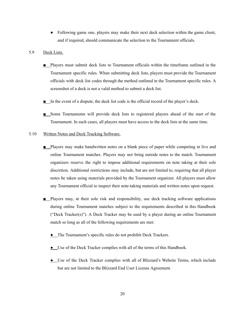• Following game one, players may make their next deck selection within the game client, and if required, should communicate the selection to the Tournament officials.

#### <span id="page-20-0"></span>5.9 Deck Lists.

- Players must submit deck lists to Tournament officials within the timeframe outlined in the Tournament specific rules. When submitting deck lists, players must provide the Tournament officials with deck list codes through the method outlined in the Tournament specific rules. A screenshot of a deck is not a valid method to submit a deck list.
- In the event of a dispute, the deck list code is the official record of the player's deck.
- Some Tournaments will provide deck lists to registered players ahead of the start of the Tournament. In such cases, all players must have access to the deck lists at the same time.

#### <span id="page-20-1"></span>5.10 Written Notes and Deck Tracking Software.

- Players may make handwritten notes on a blank piece of paper while competing in live and online Tournament matches. Players may not bring outside notes to the match. Tournament organizers reserve the right to impose additional requirements on note taking at their sole discretion. Additional restrictions may include, but are not limited to, requiring that all player notes be taken using materials provided by the Tournament organizer. All players must allow any Tournament official to inspect their note-taking materials and written notes upon request.
- Players may, at their sole risk and responsibility, use deck tracking software applications during online Tournament matches subject to the requirements described in this Handbook ("Deck Tracker(s)"). A Deck Tracker may be used by a player during an online Tournament match so long as all of the following requirements are met:
	- The Tournament's specific rules do not prohibit Deck Trackers.
	- Use of the Deck Tracker complies with all of the terms of this Handbook.
	- Use of the Deck Tracker complies with all of Blizzard's Website Terms, which include but are not limited to the Blizzard End User License Agreement.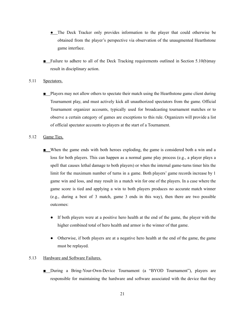- The Deck Tracker only provides information to the player that could otherwise be obtained from the player's perspective via observation of the unaugmented Hearthstone game interface.
- Failure to adhere to all of the Deck Tracking requirements outlined in Section 5.10(b)may result in disciplinary action.

#### <span id="page-21-0"></span>5.11 Spectators.

■ Players may not allow others to spectate their match using the Hearthstone game client during Tournament play, and must actively kick all unauthorized spectators from the game. Official Tournament organizer accounts, typically used for broadcasting tournament matches or to observe a certain category of games are exceptions to this rule. Organizers will provide a list of official spectator accounts to players at the start of a Tournament.

#### <span id="page-21-1"></span>5.12 Game Ties.

- When the game ends with both heroes exploding, the game is considered both a win and a loss for both players. This can happen as a normal game play process (e.g., a player plays a spell that causes lethal damage to both players) or when the internal game-turns timer hits the limit for the maximum number of turns in a game. Both players' game records increase by 1 game win and loss, and may result in a match win for one of the players. In a case where the game score is tied and applying a win to both players produces no accurate match winner (e.g., during a best of 3 match, game 3 ends in this way), then there are two possible outcomes:
	- If both players were at a positive hero health at the end of the game, the player with the higher combined total of hero health and armor is the winner of that game.
	- Otherwise, if both players are at a negative hero health at the end of the game, the game must be replayed.

#### <span id="page-21-2"></span>5.13 Hardware and Software Failures.

■ During a Bring-Your-Own-Device Tournament (a "BYOD Tournament"), players are responsible for maintaining the hardware and software associated with the device that they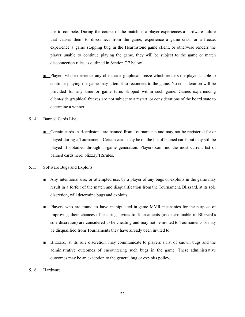use to compete. During the course of the match, if a player experiences a hardware failure that causes them to disconnect from the game, experience a game crash or a freeze, experience a game stopping bug in the Hearthstone game client, or otherwise renders the player unable to continue playing the game, they will be subject to the game or match disconnection rules as outlined in Section 7.7 below.

■ Players who experience any client-side graphical freeze which renders the player unable to continue playing the game may attempt to reconnect to the game. No consideration will be provided for any time or game turns skipped within such game. Games experiencing client-side graphical freezes are not subject to a restart, or considerations of the board state to determine a winner.

## <span id="page-22-0"></span>5.14 Banned Cards List.

■ Certain cards in Hearthstone are banned from Tournaments and may not be registered for or played during a Tournament. Certain cards may be on the list of banned cards but may still be played if obtained through in-game generation. Players can find the most current list of banned cards here: blizz.ly/HSrules.

# <span id="page-22-1"></span>5.15 Software Bugs and Exploits.

- Any intentional use, or attempted use, by a player of any bugs or exploits in the game may result in a forfeit of the match and disqualification from the Tournament. Blizzard, at its sole discretion, will determine bugs and exploits.
- Players who are found to have manipulated in-game MMR mechanics for the purpose of improving their chances of securing invites to Tournaments (as determinable in Blizzard's sole discretion) are considered to be cheating and may not be invited to Tournaments or may be disqualified from Tournaments they have already been invited to.
- Blizzard, at its sole discretion, may communicate to players a list of known bugs and the administrative outcomes of encountering such bugs in the game. These administrative outcomes may be an exception to the general bug or exploits policy.

#### <span id="page-22-2"></span>5.16 Hardware.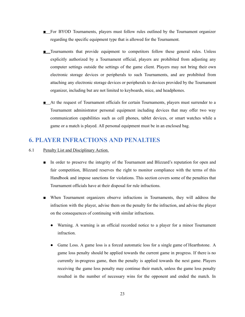- For BYOD Tournaments, players must follow rules outlined by the Tournament organizer regarding the specific equipment type that is allowed for the Tournament.
- Tournaments that provide equipment to competitors follow these general rules. Unless explicitly authorized by a Tournament official, players are prohibited from adjusting any computer settings outside the settings of the game client. Players may not bring their own electronic storage devices or peripherals to such Tournaments, and are prohibited from attaching any electronic storage devices or peripherals to devices provided by the Tournament organizer, including but are not limited to keyboards, mice, and headphones.
- At the request of Tournament officials for certain Tournaments, players must surrender to a Tournament administrator personal equipment including devices that may offer two way communication capabilities such as cell phones, tablet devices, or smart watches while a game or a match is played. All personal equipment must be in an enclosed bag.

# **6. PLAYER INFRACTIONS AND PENALTIES**

- 6.1 Penalty List and Disciplinary Action.
	- In order to preserve the integrity of the Tournament and Blizzard's reputation for open and fair competition, Blizzard reserves the right to monitor compliance with the terms of this Handbook and impose sanctions for violations. This section covers some of the penalties that Tournament officials have at their disposal for rule infractions.
	- When Tournament organizers observe infractions in Tournaments, they will address the infraction with the player, advise them on the penalty for the infraction, and advise the player on the consequences of continuing with similar infractions.
		- Warning. A warning is an official recorded notice to a player for a minor Tournament infraction.
		- Game Loss. A game loss is a forced automatic loss for a single game of Hearthstone. A game loss penalty should be applied towards the current game in progress. If there is no currently in-progress game, then the penalty is applied towards the next game. Players receiving the game loss penalty may continue their match, unless the game loss penalty resulted in the number of necessary wins for the opponent and ended the match. In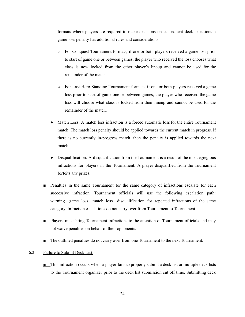formats where players are required to make decisions on subsequent deck selections a game loss penalty has additional rules and considerations.

- For Conquest Tournament formats, if one or both players received a game loss prior to start of game one or between games, the player who received the loss chooses what class is now locked from the other player's lineup and cannot be used for the remainder of the match.
- For Last Hero Standing Tournament formats, if one or both players received a game loss prior to start of game one or between games, the player who received the game loss will choose what class is locked from their lineup and cannot be used for the remainder of the match.
- Match Loss. A match loss infraction is a forced automatic loss for the entire Tournament match. The match loss penalty should be applied towards the current match in progress. If there is no currently in-progress match, then the penalty is applied towards the next match.
- Disqualification. A disqualification from the Tournament is a result of the most egregious infractions for players in the Tournament. A player disqualified from the Tournament forfeits any prizes.
- Penalties in the same Tournament for the same category of infractions escalate for each successive infraction. Tournament officials will use the following escalation path: warning—game loss—match loss—disqualification for repeated infractions of the same category. Infraction escalations do not carry over from Tournament to Tournament.
- Players must bring Tournament infractions to the attention of Tournament officials and may not waive penalties on behalf of their opponents.
- The outlined penalties do not carry over from one Tournament to the next Tournament.

#### 6.2 Failure to Submit Deck List.

■ This infraction occurs when a player fails to properly submit a deck list or multiple deck lists to the Tournament organizer prior to the deck list submission cut off time. Submitting deck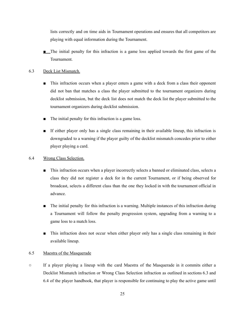lists correctly and on time aids in Tournament operations and ensures that all competitors are playing with equal information during the Tournament.

■ The initial penalty for this infraction is a game loss applied towards the first game of the Tournament.

# 6.3 Deck List Mismatch.

- This infraction occurs when a player enters a game with a deck from a class their opponent did not ban that matches a class the player submitted to the tournament organizers during decklist submission, but the deck list does not match the deck list the player submitted to the tournament organizers during decklist submission.
- The initial penalty for this infraction is a game loss.
- If either player only has a single class remaining in their available lineup, this infraction is downgraded to a warning if the player guilty of the decklist mismatch concedes prior to either player playing a card.

# 6.4 Wrong Class Selection.

- This infraction occurs when a player incorrectly selects a banned or eliminated class, selects a class they did not register a deck for in the current Tournament, or if being observed for broadcast, selects a different class than the one they locked in with the tournament official in advance.
- The initial penalty for this infraction is a warning. Multiple instances of this infraction during a Tournament will follow the penalty progression system, upgrading from a warning to a game loss to a match loss.
- This infraction does not occur when either player only has a single class remaining in their available lineup.

# 6.5 Maestra of the Masquerade

○ If a player playing a lineup with the card Maestra of the Masquerade in it commits either a Decklist Mismatch infraction or Wrong Class Selection infraction as outlined in sections 6.3 and 6.4 of the player handbook, that player is responsible for continuing to play the active game until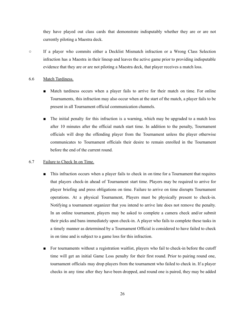they have played out class cards that demonstrate indisputably whether they are or are not currently piloting a Maestra deck.

○ If a player who commits either a Decklist Mismatch infraction or a Wrong Class Selection infraction has a Maestra in their lineup and leaves the active game prior to providing indisputable evidence that they are or are not piloting a Maestra deck, that player receives a match loss.

#### 6.6 Match Tardiness.

- Match tardiness occurs when a player fails to arrive for their match on time. For online Tournaments, this infraction may also occur when at the start of the match, a player fails to be present in all Tournament official communication channels.
- The initial penalty for this infraction is a warning, which may be upgraded to a match loss after 10 minutes after the official match start time. In addition to the penalty, Tournament officials will drop the offending player from the Tournament unless the player otherwise communicates to Tournament officials their desire to remain enrolled in the Tournament before the end of the current round.

## 6.7 Failure to Check In on Time.

- This infraction occurs when a player fails to check in on time for a Tournament that requires that players check-in ahead of Tournament start time. Players may be required to arrive for player briefing and press obligations on time. Failure to arrive on time disrupts Tournament operations. At a physical Tournament, Players must be physically present to check-in. Notifying a tournament organizer that you intend to arrive late does not remove the penalty. In an online tournament, players may be asked to complete a camera check and/or submit their picks and bans immediately upon check-in. A player who fails to complete these tasks in a timely manner as determined by a Tournament Official is considered to have failed to check in on time and is subject to a game loss for this infraction.
- For tournaments without a registration waitlist, players who fail to check-in before the cutoff time will get an initial Game Loss penalty for their first round. Prior to pairing round one, tournament officials may drop players from the tournament who failed to check in. If a player checks in any time after they have been dropped, and round one is paired, they may be added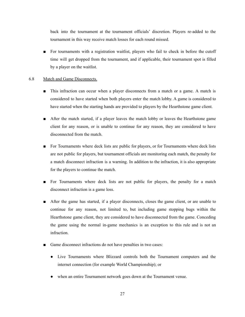back into the tournament at the tournament officials' discretion. Players re-added to the tournament in this way receive match losses for each round missed.

■ For tournaments with a registration waitlist, players who fail to check in before the cutoff time will get dropped from the tournament, and if applicable, their tournament spot is filled by a player on the waitlist.

#### 6.8 Match and Game Disconnects.

- This infraction can occur when a player disconnects from a match or a game. A match is considered to have started when both players enter the match lobby. A game is considered to have started when the starting hands are provided to players by the Hearthstone game client.
- After the match started, if a player leaves the match lobby or leaves the Hearthstone game client for any reason, or is unable to continue for any reason, they are considered to have disconnected from the match.
- For Tournaments where deck lists are public for players, or for Tournaments where deck lists are not public for players, but tournament officials are monitoring each match, the penalty for a match disconnect infraction is a warning. In addition to the infraction, it is also appropriate for the players to continue the match.
- For Tournaments where deck lists are not public for players, the penalty for a match disconnect infraction is a game loss.
- After the game has started, if a player disconnects, closes the game client, or are unable to continue for any reason, not limited to, but including game stopping bugs within the Hearthstone game client, they are considered to have disconnected from the game. Conceding the game using the normal in-game mechanics is an exception to this rule and is not an infraction.
- Game disconnect infractions do not have penalties in two cases:
	- Live Tournaments where Blizzard controls both the Tournament computers and the internet connection (for example World Championship); or
	- when an entire Tournament network goes down at the Tournament venue.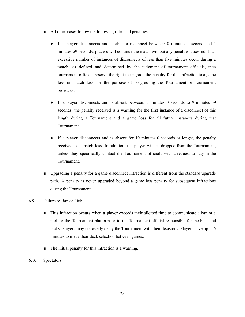- All other cases follow the following rules and penalties:
	- If a player disconnects and is able to reconnect between: 0 minutes 1 second and 4 minutes 59 seconds, players will continue the match without any penalties assessed. If an excessive number of instances of disconnects of less than five minutes occur during a match, as defined and determined by the judgment of tournament officials, then tournament officials reserve the right to upgrade the penalty for this infraction to a game loss or match loss for the purpose of progressing the Tournament or Tournament broadcast.
	- If a player disconnects and is absent between: 5 minutes 0 seconds to 9 minutes 59 seconds, the penalty received is a warning for the first instance of a disconnect of this length during a Tournament and a game loss for all future instances during that Tournament.
	- If a player disconnects and is absent for 10 minutes 0 seconds or longer, the penalty received is a match loss. In addition, the player will be dropped from the Tournament, unless they specifically contact the Tournament officials with a request to stay in the Tournament.
- Upgrading a penalty for a game disconnect infraction is different from the standard upgrade path. A penalty is never upgraded beyond a game loss penalty for subsequent infractions during the Tournament.

## 6.9 Failure to Ban or Pick.

- This infraction occurs when a player exceeds their allotted time to communicate a ban or a pick to the Tournament platform or to the Tournament official responsible for the bans and picks. Players may not overly delay the Tournament with their decisions. Players have up to 5 minutes to make their deck selection between games.
- The initial penalty for this infraction is a warning.
- 6.10 Spectators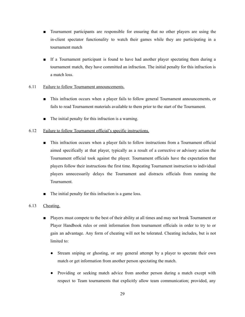- Tournament participants are responsible for ensuring that no other players are using the in-client spectator functionality to watch their games while they are participating in a tournament match
- If a Tournament participant is found to have had another player spectating them during a tournament match, they have committed an infraction. The initial penalty for this infraction is a match loss.
- 6.11 Failure to follow Tournament announcements.
	- This infraction occurs when a player fails to follow general Tournament announcements, or fails to read Tournament materials available to them prior to the start of the Tournament.
	- The initial penalty for this infraction is a warning.
- 6.12 Failure to follow Tournament official's specific instructions.
	- This infraction occurs when a player fails to follow instructions from a Tournament official aimed specifically at that player, typically as a result of a corrective or advisory action the Tournament official took against the player. Tournament officials have the expectation that players follow their instructions the first time. Repeating Tournament instruction to individual players unnecessarily delays the Tournament and distracts officials from running the Tournament.
	- The initial penalty for this infraction is a game loss.

## <span id="page-29-0"></span>6.13 Cheating.

- Players must compete to the best of their ability at all times and may not break Tournament or Player Handbook rules or omit information from tournament officials in order to try to or gain an advantage. Any form of cheating will not be tolerated. Cheating includes, but is not limited to:
	- Stream sniping or ghosting, or any general attempt by a player to spectate their own match or get information from another person spectating the match.
	- Providing or seeking match advice from another person during a match except with respect to Team tournaments that explicitly allow team communication; provided, any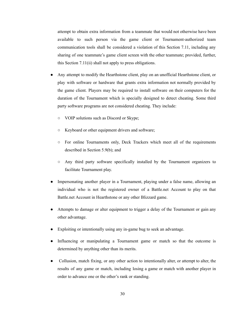attempt to obtain extra information from a teammate that would not otherwise have been available to such person via the game client or Tournament-authorized team communication tools shall be considered a violation of this Section 7.11, including any sharing of one teammate's game client screen with the other teammate; provided, further, this Section 7.11(ii) shall not apply to press obligations.

- Any attempt to modify the Hearthstone client, play on an unofficial Hearthstone client, or play with software or hardware that grants extra information not normally provided by the game client. Players may be required to install software on their computers for the duration of the Tournament which is specially designed to detect cheating. Some third party software programs are not considered cheating. They include:
	- VOIP solutions such as Discord or Skype;
	- Keyboard or other equipment drivers and software;
	- For online Tournaments only, Deck Trackers which meet all of the requirements described in Section 5.9(b); and
	- Any third party software specifically installed by the Tournament organizers to facilitate Tournament play.
- Impersonating another player in a Tournament, playing under a false name, allowing an individual who is not the registered owner of a Battle.net Account to play on that Battle.net Account in Hearthstone or any other Blizzard game.
- Attempts to damage or alter equipment to trigger a delay of the Tournament or gain any other advantage.
- Exploiting or intentionally using any in-game bug to seek an advantage.
- Influencing or manipulating a Tournament game or match so that the outcome is determined by anything other than its merits.
- Collusion, match fixing, or any other action to intentionally alter, or attempt to alter, the results of any game or match, including losing a game or match with another player in order to advance one or the other's rank or standing.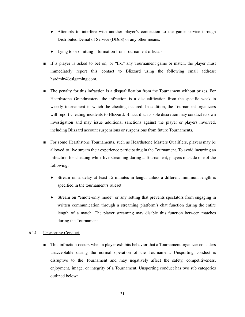- Attempts to interfere with another player's connection to the game service through Distributed Denial of Service (DDoS) or any other means.
- Lying to or omitting information from Tournament officials.
- If a player is asked to bet on, or "fix," any Tournament game or match, the player must immediately report this contact to Blizzard using the following email address: hsadmin@eslgaming.com.
- The penalty for this infraction is a disqualification from the Tournament without prizes. For Hearthstone Grandmasters, the infraction is a disqualification from the specific week in weekly tournament in which the cheating occured. In addition, the Tournament organizers will report cheating incidents to Blizzard. Blizzard at its sole discretion may conduct its own investigation and may issue additional sanctions against the player or players involved, including Blizzard account suspensions or suspensions from future Tournaments.
- For some Hearthstone Tournaments, such as Hearthstone Masters Qualifiers, players may be allowed to live stream their experience participating in the Tournament. To avoid incurring an infraction for cheating while live streaming during a Tournament, players must do one of the following:
	- Stream on a delay at least 15 minutes in length unless a different minimum length is specified in the tournament's ruleset
	- Stream on "emote-only mode" or any setting that prevents spectators from engaging in written communication through a streaming platform's chat function during the entire length of a match. The player streaming may disable this function between matches during the Tournament.

#### <span id="page-31-0"></span>6.14 Unsporting Conduct.

■ This infraction occurs when a player exhibits behavior that a Tournament organizer considers unacceptable during the normal operation of the Tournament. Unsporting conduct is disruptive to the Tournament and may negatively affect the safety, competitiveness, enjoyment, image, or integrity of a Tournament. Unsporting conduct has two sub categories outlined below: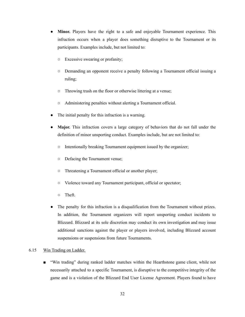- **Minor.** Players have the right to a safe and enjoyable Tournament experience. This infraction occurs when a player does something disruptive to the Tournament or its participants. Examples include, but not limited to:
	- Excessive swearing or profanity;
	- Demanding an opponent receive a penalty following a Tournament official issuing a ruling;
	- Throwing trash on the floor or otherwise littering at a venue;
	- Administering penalties without alerting a Tournament official.
- The initial penalty for this infraction is a warning.
- **Major.** This infraction covers a large category of behaviors that do not fall under the definition of minor unsporting conduct. Examples include, but are not limited to:
	- Intentionally breaking Tournament equipment issued by the organizer;
	- Defacing the Tournament venue;
	- Threatening a Tournament official or another player;
	- Violence toward any Tournament participant, official or spectator;
	- Theft.
- The penalty for this infraction is a disqualification from the Tournament without prizes. In addition, the Tournament organizers will report unsporting conduct incidents to Blizzard. Blizzard at its sole discretion may conduct its own investigation and may issue additional sanctions against the player or players involved, including Blizzard account suspensions or suspensions from future Tournaments.

#### 6.15 Win Trading on Ladder.

■ "Win trading" during ranked ladder matches within the Hearthstone game client, while not necessarily attached to a specific Tournament, is disruptive to the competitive integrity of the game and is a violation of the Blizzard End User License Agreement. Players found to have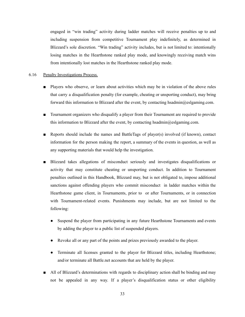engaged in "win trading" activity during ladder matches will receive penalties up to and including suspension from competitive Tournament play indefinitely, as determined in Blizzard's sole discretion. "Win trading" activity includes, but is not limited to: intentionally losing matches in the Hearthstone ranked play mode, and knowingly receiving match wins from intentionally lost matches in the Hearthstone ranked play mode.

### 6.16 Penalty Investigations Process.

- Players who observe, or learn about activities which may be in violation of the above rules that carry a disqualification penalty (for example, cheating or unsporting conduct), may bring forward this information to Blizzard after the event, by contacting hsadmin@eslgaming.com.
- Tournament organizers who disqualify a player from their Tournament are required to provide this information to Blizzard after the event, by contacting hsadmin $@e$ slgaming.com.
- Reports should include the names and BattleTags of player(s) involved (if known), contact information for the person making the report, a summary of the events in question, as well as any supporting materials that would help the investigation.
- Blizzard takes allegations of misconduct seriously and investigates disqualifications or activity that may constitute cheating or unsporting conduct. In addition to Tournament penalties outlined in this Handbook, Blizzard may, but is not obligated to, impose additional sanctions against offending players who commit misconduct in ladder matches within the Hearthstone game client, in Tournaments, prior to or after Tournaments, or in connection with Tournament-related events. Punishments may include, but are not limited to the following:
	- Suspend the player from participating in any future Hearthstone Tournaments and events by adding the player to a public list of suspended players.
	- Revoke all or any part of the points and prizes previously awarded to the player.
	- Terminate all licenses granted to the player for Blizzard titles, including Hearthstone; and/or terminate all Battle.net accounts that are held by the player.
- All of Blizzard's determinations with regards to disciplinary action shall be binding and may not be appealed in any way. If a player's disqualification status or other eligibility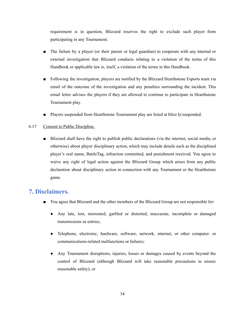requirement is in question, Blizzard reserves the right to exclude such player from participating in any Tournament.

- The failure by a player (or their parent or legal guardian) to cooperate with any internal or external investigation that Blizzard conducts relating to a violation of the terms of this Handbook or applicable law is, itself, a violation of the terms in this Handbook.
- Following the investigation, players are notified by the Blizzard Hearthstone Esports team via email of the outcome of the investigation and any penalties surrounding the incident. This email letter advises the players if they are allowed to continue to participate in Hearthstone Tournament play.
- Players suspended from Hearthstone Tournament play are listed at blizz.ly/suspended.

# <span id="page-34-0"></span>6.17 Consent to Public Discipline.

■ Blizzard shall have the right to publish public declarations (via the internet, social media, or otherwise) about player disciplinary action, which may include details such as the disciplined player's real name, BattleTag, infraction committed, and punishment received. You agree to waive any right of legal action against the Blizzard Group which arises from any public declaration about disciplinary action in connection with any Tournament or the Hearthstone game.

# <span id="page-34-1"></span>**7. Disclaimers.**

- You agree that Blizzard and the other members of the Blizzard Group are not responsible for:
	- Any late, lost, misrouted, garbled or distorted, inaccurate, incomplete or damaged transmissions or entries;
	- Telephone, electronic, hardware, software, network, internet, or other computer- or communications-related malfunctions or failures;
	- Any Tournament disruptions, injuries, losses or damages caused by events beyond the control of Blizzard (although Blizzard will take reasonable precautions to ensure reasonable safety); or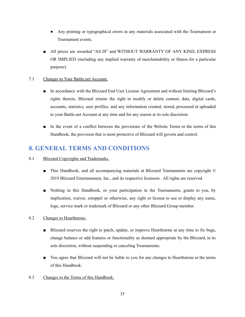- Any printing or typographical errors in any materials associated with the Tournament or Tournament events.
- All prizes are awarded "AS IS" and WITHOUT WARRANTY OF ANY KIND, EXPRESS OR IMPLIED (including any implied warranty of merchantability or fitness for a particular purpose).

# 7.1 Changes to Your Battle.net Account.

- In accordance with the Blizzard End User License Agreement and without limiting Blizzard's rights therein, Blizzard retains the right to modify or delete content, data, digital cards, accounts, statistics, user profiles, and any information created, stored, processed or uploaded to your Battle.net Account at any time and for any reason at its sole discretion.
- In the event of a conflict between the provisions of the Website Terms or the terms of this Handbook, the provision that is most protective of Blizzard will govern and control.

# **8. GENERAL TERMS AND CONDITIONS**

- 8.1 Blizzard Copyrights and Trademarks.
	- This Handbook, and all accompanying materials at Blizzard Tournaments are copyright © 2019 Blizzard Entertainment, Inc., and its respective licensors. All rights are reserved.
	- Nothing in this Handbook, or your participation in the Tournaments, grants to you, by implication, waiver, estoppel or otherwise, any right or license to use or display any name, logo, service mark or trademark of Blizzard or any other Blizzard Group member.
- 8.2 Changes to Hearthstone.
	- Blizzard reserves the right to patch, update, or improve Hearthstone at any time to fix bugs, change balance or add features or functionality as deemed appropriate by the Blizzard, in its sole discretion, without suspending or canceling Tournaments.
	- You agree that Blizzard will not be liable to you for any changes to Hearthstone or the terms of this Handbook.
- 8.3 Changes to the Terms of this Handbook.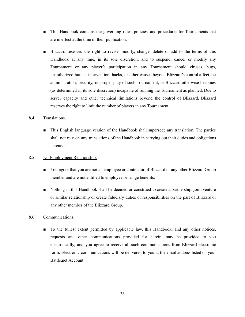- This Handbook contains the governing rules, policies, and procedures for Tournaments that are in effect at the time of their publication.
- Blizzard reserves the right to revise, modify, change, delete or add to the terms of this Handbook at any time, in its sole discretion, and to suspend, cancel or modify any Tournament or any player's participation in any Tournament should viruses, bugs, unauthorized human intervention, hacks, or other causes beyond Blizzard's control affect the administration, security, or proper play of such Tournament, or Blizzard otherwise becomes (as determined in its sole discretion) incapable of running the Tournament as planned. Due to server capacity and other technical limitations beyond the control of Blizzard, Blizzard reserves the right to limit the number of players in any Tournament.

## 8.4 Translations.

■ This English language version of the Handbook shall supersede any translation. The parties shall not rely on any translations of the Handbook in carrying out their duties and obligations hereunder.

#### 8.5 No Employment Relationship.

- You agree that you are not an employee or contractor of Blizzard or any other Blizzard Group member and are not entitled to employee or fringe benefits.
- Nothing in this Handbook shall be deemed or construed to create a partnership, joint venture or similar relationship or create fiduciary duties or responsibilities on the part of Blizzard or any other member of the Blizzard Group.

#### 8.6 Communications.

■ To the fullest extent permitted by applicable law, this Handbook, and any other notices, requests and other communications provided for herein, may be provided to you electronically, and you agree to receive all such communications from Blizzard electronic form. Electronic communications will be delivered to you at the email address listed on your Battle.net Account.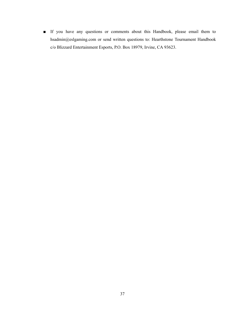■ If you have any questions or comments about this Handbook, please email them to hsadmin@eslgaming.com or send written questions to: Hearthstone Tournament Handbook c/o Blizzard Entertainment Esports, P.O. Box 18979, Irvine, CA 93623.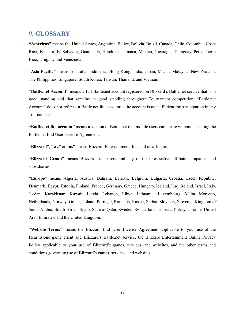# **9. GLOSSARY**

**"Americas"** means the United States, Argentina, Belize, Bolivia, Brazil, Canada, Chile, Colombia, Costa Rica, Ecuador, El Salvador, Guatemala, Honduras, Jamaica, Mexico, Nicaragua, Paraguay, Peru, Puerto Rico, Uruguay and Venezuela.

**"Asia-Pacific"** means Australia, Indonesia, Hong Kong, India, Japan, Macau, Malaysia, New Zealand, The Philippines, Singapore, South Korea, Taiwan, Thailand, and Vietnam.

**"Battle.net Account"** means a full Battle.net account registered on Blizzard's Battle.net service that is in good standing and that remains in good standing throughout Tournament competition. "Battle.net Account" does not refer to a Battle.net lite account; a lite account is not sufficient for participation in any Tournament.

**"Battle.net lite account"** means a version of Battle.net that mobile users can create without accepting the Battle.net End User License Agreement.

**"Blizzard"**, **"we"** or **"us"** means Blizzard Entertainment, Inc. and its affiliates.

**"Blizzard Group"** means Blizzard, its parent and any of their respective affiliate companies and subsidiaries.

**"Europe"** means Algeria, Austria, Bahrain, Belarus, Belgium, Bulgaria, Croatia, Czech Republic, Denmark, Egypt, Estonia, Finland, France, Germany, Greece, Hungary, Iceland, Iraq, Ireland, Israel, Italy, Jordan, Kazakhstan, Kuwait, Latvia, Lebanon, Libya, Lithuania, Luxembourg, Malta, Morocco, Netherlands, Norway, Oman, Poland, Portugal, Romania, Russia, Serbia, Slovakia, Slovenia, Kingdom of Saudi Arabia, South Africa, Spain, State of Qatar, Sweden, Switzerland, Tunisia, Turkey, Ukraine, United Arab Emirates, and the United Kingdom.

**"Website Terms"** means the Blizzard End User License Agreement applicable to your use of the Hearthstone game client and Blizzard's Battle.net service, the Blizzard Entertainment Online Privacy Policy applicable to your use of Blizzard's games, services, and websites, and the other terms and conditions governing use of Blizzard's games, services, and websites.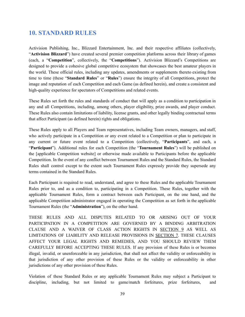# **10. STANDARD RULES**

Activision Publishing, Inc., Blizzard Entertainment, Inc. and their respective affiliates (collectively, "**Activision Blizzard**") have created several premier competition platforms across their library of games (each, a "**Competition**", collectively, the "**Competitions**"). Activision Blizzard's Competitions are designed to provide a cohesive global competitive ecosystem that showcases the best amateur players in the world. These official rules, including any updates, amendments or supplements thereto existing from time to time (these "**Standard Rules**" or "**Rules**") ensure the integrity of all Competitions, protect the image and reputation of each Competition and each Game (as defined herein), and create a consistent and high-quality experience for spectators of Competitions and related events.

These Rules set forth the rules and standards of conduct that will apply as a condition to participation in any and all Competitions, including, among others, player eligibility, prize awards, and player conduct. These Rules also contain limitations of liability, license grants, and other legally binding contractual terms that affect Participant (as defined herein) rights and obligations.

These Rules apply to all Players and Team representatives, including Team owners, managers, and staff, who actively participate in a Competition or any event related to a Competition or plan to participate in any current or future event related to a Competition (collectively, "**Participants**", and each, a "**Participant**"). Additional rules for each Competition (the "**Tournament Rules**") will be published on the [applicable Competition website] or otherwise made available to Participants before the applicable Competition. In the event of any conflict between Tournament Rules and the Standard Rules, the Standard Rules shall control except to the extent such Tournament Rules expressly provide they supersede any terms contained in the Standard Rules.

Each Participant is required to read, understand, and agree to these Rules and the applicable Tournament Rules prior to, and as a condition to, participating in a Competition. These Rules, together with the applicable Tournament Rules, form a contract between each Participant, on the one hand, and the applicable Competition administrator engaged in operating the Competition as set forth in the applicable Tournament Rules (the "**Administration**"), on the other hand.

THESE RULES AND ALL DISPUTES RELATED TO OR ARISING OUT OF YOUR PARTICIPATION IN A COMPETITION ARE GOVERNED BY A BINDING ARBITRATION CLAUSE AND A WAIVER OF CLASS ACTION RIGHTS IN SECTION 9 AS WELL AS LIMITATIONS OF LIABILITY AND RELEASE PROVISIONS IN SECTION 7. THESE CLAUSES AFFECT YOUR LEGAL RIGHTS AND REMEDIES, AND YOU SHOULD REVIEW THEM CAREFULLY BEFORE ACCEPTING THESE RULES. If any provision of these Rules is or becomes illegal, invalid, or unenforceable in any jurisdiction, that shall not affect the validity or enforceability in that jurisdiction of any other provision of these Rules or the validity or enforceability in other jurisdictions of any other provision of these Rules.

Violation of these Standard Rules or any applicable Tournament Rules may subject a Participant to discipline, including, but not limited to game/match forfeitures, prize forfeitures, and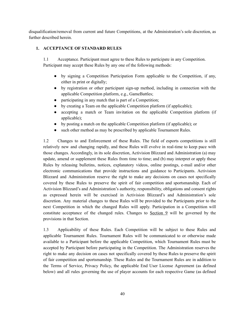disqualification/removal from current and future Competitions, at the Administration's sole discretion, as further described herein.

# **1. ACCEPTANCE OF STANDARD RULES**

1.1 Acceptance. Participant must agree to these Rules to participate in any Competition. Participant may accept these Rules by any one of the following methods:

- by signing a Competition Participation Form applicable to the Competition, if any, either in print or digitally;
- by registration or other participant sign-up method, including in connection with the applicable Competition platform, e.g., GameBattles;
- participating in any match that is part of a Competition;
- by creating a Team on the applicable Competition platform (if applicable);
- accepting a match or Team invitation on the applicable Competition platform (if applicable);
- by posting a match on the applicable Competition platform (if applicable); or
- such other method as may be prescribed by applicable Tournament Rules.

1.2 Changes to and Enforcement of these Rules. The field of esports competitions is still relatively new and changing rapidly, and these Rules will evolve in real-time to keep pace with those changes. Accordingly, in its sole discretion, Activision Blizzard and Administration (a) may update, amend or supplement these Rules from time to time; and (b) may interpret or apply these Rules by releasing bulletins, notices, explanatory videos, online postings, e-mail and/or other electronic communications that provide instructions and guidance to Participants. Activision Blizzard and Administration reserve the right to make any decisions on cases not specifically covered by these Rules to preserve the spirit of fair competition and sportsmanship. Each of Activision Blizzard's and Administration's authority, responsibility, obligations and consent rights as expressed herein will be exercised in Activision Blizzard's and Administration's sole discretion. Any material changes to these Rules will be provided to the Participants prior to the next Competition in which the changed Rules will apply. Participation in a Competition will constitute acceptance of the changed rules. Changes to  $Section 9$  will be governed by the provisions in that Section.

1.3 Applicability of these Rules. Each Competition will be subject to these Rules and applicable Tournament Rules. Tournament Rules will be communicated to or otherwise made available to a Participant before the applicable Competition, which Tournament Rules must be accepted by Participant before participating in the Competition. The Administration reserves the right to make any decision on cases not specifically covered by these Rules to preserve the spirit of fair competition and sportsmanship. These Rules and the Tournament Rules are in addition to the Terms of Service, Privacy Policy, the applicable End User License Agreement (as defined below) and all rules governing the use of player accounts for each respective Game (as defined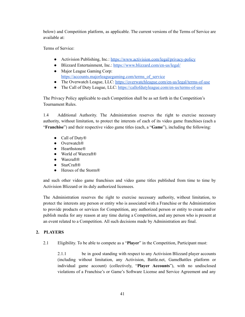below) and Competition platform, as applicable. The current versions of the Terms of Service are available at:

Terms of Service:

- Activision Publishing, Inc.: <https://www.activision.com/legal/privacy-policy>
- Blizzard Entertainment, Inc.: <https://www.blizzard.com/en-us/legal/> • Major League Gaming Corp:
- [https://accounts.majorleaguegaming.com/terms\\_of\\_service](https://accounts.majorleaguegaming.com/terms_of_service)
- The Overwatch League, LLC: <https://overwatchleague.com/en-us/legal/terms-of-use>
- The Call of Duty League, LLC: <https://callofdutyleague.com/en-us/terms-of-use>

The Privacy Policy applicable to each Competition shall be as set forth in the Competition's Tournament Rules.

1.4 Additional Authority. The Administration reserves the right to exercise necessary authority, without limitation, to protect the interests of each of its video game franchises (each a "**Franchise**") and their respective video game titles (each, a "**Game**"), including the following:

- Call of Duty<sup>®</sup>
- Overwatch®
- Hearthstone®
- World of Warcraft®
- Warcraft®
- StarCraft®
- Heroes of the Storm<sup>®</sup>

and such other video game franchises and video game titles published from time to time by Activision Blizzard or its duly authorized licensees.

The Administration reserves the right to exercise necessary authority, without limitation, to protect the interests any person or entity who is associated with a Franchise or the Administration to provide products or services for Competition, any authorized person or entity to create and/or publish media for any reason at any time during a Competition, and any person who is present at an event related to a Competition. All such decisions made by Administration are final.

# **2. PLAYERS**

2.1 Eligibility. To be able to compete as a "**Player**" in the Competition, Participant must:

2.1.1 be in good standing with respect to any Activision Blizzard player accounts (including without limitation, any Activision, Battle.net, GameBattles platform or individual game account) (collectively, "**Player Accounts**"), with no undisclosed violations of a Franchise's or Game's Software License and Service Agreement and any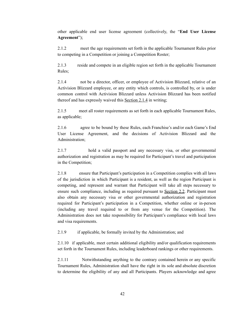other applicable end user license agreement (collectively, the "**End User License Agreement**");

2.1.2 meet the age requirements set forth in the applicable Tournament Rules prior to competing in a Competition or joining a Competition Roster;

2.1.3 reside and compete in an eligible region set forth in the applicable Tournament Rules;

2.1.4 not be a director, officer, or employee of Activision Blizzard, relative of an Activision Blizzard employee, or any entity which controls, is controlled by, or is under common control with Activision Blizzard unless Activision Blizzard has been notified thereof and has expressly waived this Section 2.1.4 in writing;

2.1.5 meet all roster requirements as set forth in each applicable Tournament Rules, as applicable;

2.1.6 agree to be bound by these Rules, each Franchise's and/or each Game's End User License Agreement, and the decisions of Activision Blizzard and the Administration;

2.1.7 hold a valid passport and any necessary visa, or other governmental authorization and registration as may be required for Participant's travel and participation in the Competition;

2.1.8 ensure that Participant's participation in a Competition complies with all laws of the jurisdiction in which Participant is a resident, as well as the region Participant is competing, and represent and warrant that Participant will take all steps necessary to ensure such compliance, including as required pursuant to Section 2.2. Participant must also obtain any necessary visa or other governmental authorization and registration required for Participant's participation in a Competition, whether online or in-person (including any travel required to or from any venue for the Competition). The Administration does not take responsibility for Participant's compliance with local laws and visa requirements.

2.1.9 if applicable, be formally invited by the Administration; and

2.1.10 if applicable, meet certain additional eligibility and/or qualification requirements set forth in the Tournament Rules, including leaderboard rankings or other requirements.

2.1.11 Notwithstanding anything to the contrary contained herein or any specific Tournament Rules, Administration shall have the right in its sole and absolute discretion to determine the eligibility of any and all Participants. Players acknowledge and agree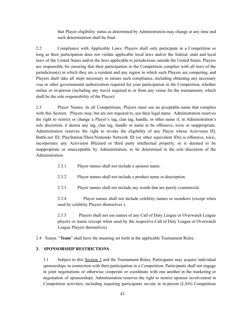that Player eligibility status as determined by Administration may change at any time and such determination shall be final.

2.2 Compliance with Applicable Laws. Players shall only participate in a Competition so long as their participation does not violate applicable local laws and/or the federal, state and local laws of the United States and/or the laws applicable to jurisdictions outside the United States. Players are responsible for ensuring that their participation in the Competition complies with all laws of the jurisdiction(s) in which they are a resident and any region in which such Players are competing, and Players shall take all steps necessary to ensure such compliance, including obtaining any necessary visa or other governmental authorization required for your participation in the Competition, whether online or in-person (including any travel required to or from any venue for the tournaments, which shall be the sole responsibility of the Player).

2.3 Player Names. In all Competitions, Players must use an acceptable name that complies with this Section. Players may, but are not required to, use their legal name. Administration reserves the right to restrict or change a Player's tag, clan tag, handle, or other name if, in Administration's sole discretion, it deems any tag, clan tag, handle or name to be offensive, toxic or inappropriate. Administration reserves the right to revoke the eligibility of any Player whose Activision ID, Battle.net ID, PlayStation/Xbox/Nintendo Network ID (or other equivalent IDs) is offensive, toxic, incorporates any Activision Blizzard or third party intellectual property, or is deemed to be inappropriate or unacceptable by Administration, to be determined in the sole discretion of the Administration.

- 2.3.1 Player names shall not include a sponsor name.
- 2.3.2 Player names shall not include a product name or description.
- 2.3.3 Player names shall not include any words that are purely commercial.

2.3.4 Player names shall not include celebrity names or monikers (except when used by celebrity Players themselves ).

2.3.5 Players shall not use names of any Call of Duty League or Overwatch League players or teams (except when used by the respective Call of Duty League or Overwatch League Players themselves).

2.4 Teams. "**Team**" shall have the meaning set forth in the applicable Tournament Rules.

# **3. SPONSORSHIP RESTRICTIONS**

3.1 Subject to this Section 3 and the Tournament Rules, Participants may acquire individual sponsorships in connection with their participation in a Competition. Participants shall not engage in joint negotiations or otherwise cooperate or coordinate with one another in the marketing or negotiation of sponsorships. Administration reserves the right to restrict sponsor involvement in Competition activities, including requiring participants on-site at in-person (LAN) Competition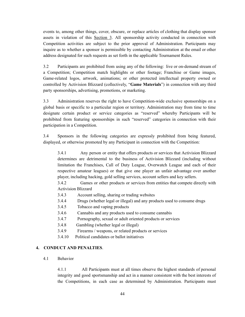events to, among other things, cover, obscure, or replace articles of clothing that display sponsor assets in violation of this Section 3. All sponsorship activity conducted in connection with Competition activities are subject to the prior approval of Administration. Participants may inquire as to whether a sponsor is permissible by contacting Administration at the email or other address designated for such requests as set forth in the applicable Tournament Rules.

3.2 Participants are prohibited from using any of the following: live or on-demand stream of a Competition; Competition match highlights or other footage; Franchise or Game images, Game-related logos, artwork, animations; or other protected intellectual property owned or controlled by Activision Blizzard (collectively, "**Game Materials**") in connection with any third party sponsorships, advertising, promotions, or marketing.

3.3 Administration reserves the right to have Competition-wide exclusive sponsorships on a global basis or specific to a particular region or territory. Administration may from time to time designate certain product or service categories as "reserved" whereby Participants will be prohibited from featuring sponsorships in such "reserved" categories in connection with their participation in a Competition.

3.4 Sponsors in the following categories are expressly prohibited from being featured, displayed, or otherwise promoted by any Participant in connection with the Competition:

3.4.1 Any person or entity that offers products or services that Activision Blizzard determines are detrimental to the business of Activision Blizzard (including without limitation the Franchises, Call of Duty League, Overwatch League and each of their respective amateur leagues) or that give one player an unfair advantage over another player, including hacking, gold selling services, account sellers and key sellers.

3.4.2 Games or other products or services from entities that compete directly with Activision Blizzard

- 3.4.3 Account selling, sharing or trading websites
- 3.4.4 Drugs (whether legal or illegal) and any products used to consume drugs
- 3.4.5 Tobacco and vaping products
- 3.4.6 Cannabis and any products used to consume cannabis
- 3.4.7 Pornography, sexual or adult oriented products or services
- 3.4.8 Gambling (whether legal or illegal)
- 3.4.9 Firearms / weapons, or related products or services
- 3.4.10 Political candidates or ballot initiatives

# **4. CONDUCT AND PENALTIES**.

4.1 Behavior

4.1.1 All Participants must at all times observe the highest standards of personal integrity and good sportsmanship and act in a manner consistent with the best interests of the Competitions, in each case as determined by Administration. Participants must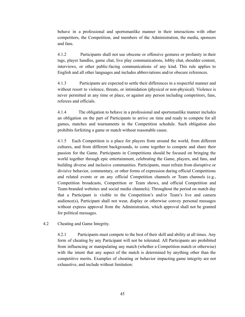behave in a professional and sportsmanlike manner in their interactions with other competitors, the Competition, and members of the Administration, the media, sponsors and fans.

4.1.2 Participants shall not use obscene or offensive gestures or profanity in their tags, player handles, game chat, live play communications, lobby chat, shoulder content, interviews, or other public-facing communications of any kind. This rule applies to English and all other languages and includes abbreviations and/or obscure references.

4.1.3 Participants are expected to settle their differences in a respectful manner and without resort to violence, threats, or intimidation (physical or non-physical). Violence is never permitted at any time or place, or against any person including competitors, fans, referees and officials.

4.1.4 The obligation to behave in a professional and sportsmanlike manner includes an obligation on the part of Participants to arrive on time and ready to compete for all games, matches and tournaments in the Competition schedule. Such obligation also prohibits forfeiting a game or match without reasonable cause.

4.1.5 Each Competition is a place for players from around the world, from different cultures, and from different backgrounds, to come together to compete and share their passion for the Game. Participants in Competitions should be focused on bringing the world together through epic entertainment, celebrating the Game, players, and fans, and building diverse and inclusive communities. Participants, must refrain from disruptive or divisive behavior, commentary, or other forms of expression during official Competitions and related events or on any official Competition channels or Team channels (e.g., Competition broadcasts, Competition or Team shows, and official Competition and Team-branded websites and social media channels). Throughout the period on match day that a Participant is visible to the Competition's and/or Team's live and camera audience(s), Participant shall not wear, display or otherwise convey personal messages without express approval from the Administration, which approval shall not be granted for political messages.

4.2 Cheating and Game Integrity.

4.2.1 Participants must compete to the best of their skill and ability at all times. Any form of cheating by any Participant will not be tolerated. All Participants are prohibited from influencing or manipulating any match (whether a Competition match or otherwise) with the intent that any aspect of the match is determined by anything other than the competitive merits. Examples of cheating or behavior impacting game integrity are not exhaustive, and include without limitation: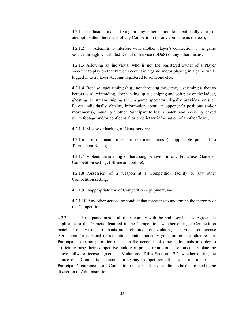4.2.1.1 Collusion, match fixing or any other action to intentionally alter, or attempt to alter, the results of any Competition (or any components thereof);

4.2.1.2 Attempts to interfere with another player's connection to the game service through Distributed Denial of Service (DDoS) or any other means;

4.2.1.3 Allowing an individual who is not the registered owner of a Player Account to play on that Player Account in a game and/or playing in a game while logged in to a Player Account registered to someone else;

4.2.1.4 Bot use, spot timing (e.g., not throwing the game, just timing a shot so bettors win), wintrading, drophacking, queue sniping and soft play on the ladder, ghosting or stream sniping (i.e., a game spectator illegally provides, or such Player individually obtains, information about an opponent's positions and/or movements), inducing another Participant to lose a match, and receiving leaked scrim footage and/or confidential or proprietary information of another Team;

4.2.1.5 Misuse or hacking of Game servers;

4.2.1.6 Use of unauthorized or restricted items (if applicable pursuant to Tournament Rules);

4.2.1.7 Violent, threatening or harassing behavior in any Franchise, Game or Competition setting, (offline and online);

4.2.1.8 Possession of a weapon at a Competition facility or any other Competition setting;

4.2.1.9 Inappropriate use of Competition equipment; and

4.2.1.10 Any other actions or conduct that threatens to undermine the integrity of the Competition.

4.2.2 Participants must at all times comply with the End User License Agreement applicable to the Game(s) featured in the Competition, whether during a Competition match or otherwise. Participants are prohibited from violating such End User License Agreement for personal or reputational gain, monetary gain, or for any other reason. Participants are not permitted to access the accounts of other individuals in order to artificially raise their competitive rank, earn points, or any other actions that violate the above software license agreement. Violations of this Section 4.2.2, whether during the course of a Competition season, during any Competition off-season, or prior to such Participant's entrance into a Competition may result in discipline to be determined in the discretion of Administration.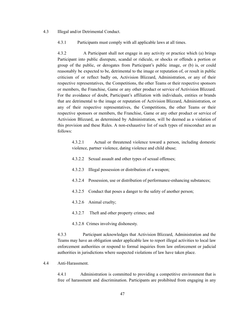#### 4.3 Illegal and/or Detrimental Conduct.

4.3.1 Participants must comply with all applicable laws at all times.

4.3.2 A Participant shall not engage in any activity or practice which (a) brings Participant into public disrepute, scandal or ridicule, or shocks or offends a portion or group of the public, or derogates from Participant's public image, or (b) is, or could reasonably be expected to be, detrimental to the image or reputation of, or result in public criticism of or reflect badly on, Activision Blizzard, Administration, or any of their respective representatives, the Competitions, the other Teams or their respective sponsors or members, the Franchise, Game or any other product or service of Activision Blizzard. For the avoidance of doubt, Participant's affiliation with individuals, entities or brands that are detrimental to the image or reputation of Activision Blizzard, Administration, or any of their respective representatives, the Competitions, the other Teams or their respective sponsors or members, the Franchise, Game or any other product or service of Activision Blizzard, as determined by Administration, will be deemed as a violation of this provision and these Rules. A non-exhaustive list of such types of misconduct are as follows:

4.3.2.1 Actual or threatened violence toward a person, including domestic violence, partner violence, dating violence and child abuse;

- 4.3.2.2 Sexual assault and other types of sexual offenses;
- 4.3.2.3 Illegal possession or distribution of a weapon;
- 4.3.2.4 Possession, use or distribution of performance-enhancing substances;
- 4.3.2.5 Conduct that poses a danger to the safety of another person;
- 4.3.2.6 Animal cruelty;
- 4.3.2.7 Theft and other property crimes; and
- 4.3.2.8 Crimes involving dishonesty.

4.3.3 Participant acknowledges that Activision Blizzard, Administration and the Teams may have an obligation under applicable law to report illegal activities to local law enforcement authorities or respond to formal inquiries from law enforcement or judicial authorities in jurisdictions where suspected violations of law have taken place.

4.4 Anti-Harassment.

4.4.1 Administration is committed to providing a competitive environment that is free of harassment and discrimination. Participants are prohibited from engaging in any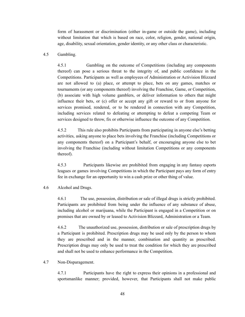form of harassment or discrimination (either in-game or outside the game), including without limitation that which is based on race, color, religion, gender, national origin, age, disability, sexual orientation, gender identity, or any other class or characteristic.

#### 4.5 Gambling.

4.5.1 Gambling on the outcome of Competitions (including any components thereof) can pose a serious threat to the integrity of, and public confidence in the Competitions. Participants as well as employees of Administration or Activision Blizzard are not allowed to (a) place, or attempt to place, bets on any games, matches or tournaments (or any components thereof) involving the Franchise, Game, or Competition, (b) associate with high volume gamblers, or deliver information to others that might influence their bets, or (c) offer or accept any gift or reward to or from anyone for services promised, rendered, or to be rendered in connection with any Competition, including services related to defeating or attempting to defeat a competing Team or services designed to throw, fix or otherwise influence the outcome of any Competition.

4.5.2 This rule also prohibits Participants from participating in anyone else's betting activities, asking anyone to place bets involving the Franchise (including Competitions or any components thereof) on a Participant's behalf, or encouraging anyone else to bet involving the Franchise (including without limitation Competitions or any components thereof).

4.5.3 Participants likewise are prohibited from engaging in any fantasy esports leagues or games involving Competitions in which the Participant pays any form of entry fee in exchange for an opportunity to win a cash prize or other thing of value.

#### 4.6 Alcohol and Drugs.

4.6.1 The use, possession, distribution or sale of illegal drugs is strictly prohibited. Participants are prohibited from being under the influence of any substance of abuse, including alcohol or marijuana, while the Participant is engaged in a Competition or on premises that are owned by or leased to Activision Blizzard, Administration or a Team.

4.6.2 The unauthorized use, possession, distribution or sale of prescription drugs by a Participant is prohibited. Prescription drugs may be used only by the person to whom they are prescribed and in the manner, combination and quantity as prescribed. Prescription drugs may only be used to treat the condition for which they are prescribed and shall not be used to enhance performance in the Competition.

#### 4.7 Non-Disparagement.

4.7.1 Participants have the right to express their opinions in a professional and sportsmanlike manner; provided, however, that Participants shall not make public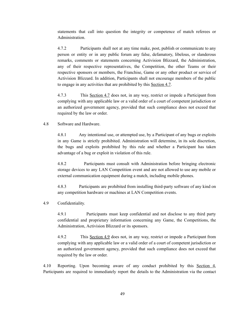statements that call into question the integrity or competence of match referees or Administration.

4.7.2 Participants shall not at any time make, post, publish or communicate to any person or entity or in any public forum any false, defamatory, libelous, or slanderous remarks, comments or statements concerning Activision Blizzard, the Administration, any of their respective representatives, the Competition, the other Teams or their respective sponsors or members, the Franchise, Game or any other product or service of Activision Blizzard. In addition, Participants shall not encourage members of the public to engage in any activities that are prohibited by this Section 4.7.

4.7.3 This Section 4.7 does not, in any way, restrict or impede a Participant from complying with any applicable law or a valid order of a court of competent jurisdiction or an authorized government agency, provided that such compliance does not exceed that required by the law or order.

## 4.8 Software and Hardware.

4.8.1 Any intentional use, or attempted use, by a Participant of any bugs or exploits in any Game is strictly prohibited. Administration will determine, in its sole discretion, the bugs and exploits prohibited by this rule and whether a Participant has taken advantage of a bug or exploit in violation of this rule.

4.8.2 Participants must consult with Administration before bringing electronic storage devices to any LAN Competition event and are not allowed to use any mobile or external communication equipment during a match, including mobile phones.

4.8.3 Participants are prohibited from installing third-party software of any kind on any competition hardware or machines at LAN Competition events.

## 4.9 Confidentiality.

4.9.1 Participants must keep confidential and not disclose to any third party confidential and proprietary information concerning any Game, the Competitions, the Administration, Activision Blizzard or its sponsors.

4.9.2 This Section 4.9 does not, in any way, restrict or impede a Participant from complying with any applicable law or a valid order of a court of competent jurisdiction or an authorized government agency, provided that such compliance does not exceed that required by the law or order.

4.10 Reporting. Upon becoming aware of any conduct prohibited by this Section 4, Participants are required to immediately report the details to the Administration via the contact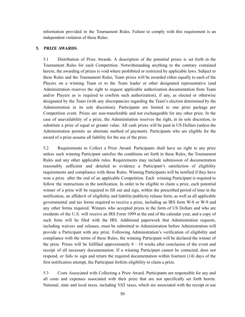information provided in the Tournament Rules. Failure to comply with this requirement is an independent violation of these Rules.

# **5. PRIZE AWARDS**.

5.1 Distribution of Prize Awards. A description of the potential prizes is set forth in the Tournament Rules for each Competition. Notwithstanding anything to the contrary contained herein, the awarding of prizes is void where prohibited or restricted by applicable laws. Subject to these Rules and the Tournament Rules, Team prizes will be awarded either equally to each of the Players on a winning Team or to the Team leader or other designated representative (and Administration reserves the right to request applicable authorization documentation from Team and/or Players as is required to confirm such authorization), if any, as elected or otherwise designated by the Team (with any discrepancies regarding the Team's election determined by the Administration in its sole discretion). Participants are limited to one prize package per Competition event. Prizes are non-transferable and not exchangeable for any other prize. In the case of unavailability of a prize, the Administration reserves the right, in its sole discretion, to substitute a prize of equal or greater value. All cash prizes will be paid in US Dollars (unless the Administration permits an alternate method of payment). Participants who are eligible for the award of a prize assume all liability for the use of the prize.

5.2 Requirements to Collect a Prize Award. Participants shall have no right to any prize unless such winning Participant satisfies the conditions set forth in these Rules, the Tournament Rules and any other applicable rules. Requirements may include submission of documentation reasonably sufficient and detailed to evidence a Participant's satisfaction of eligibility requirements and compliance with these Rules. Winning Participants will be notified if they have won a prize after the end of an applicable Competition. Each winning Participant is required to follow the instructions in the notification. In order to be eligible to claim a prize, each potential winner of a prize will be required to fill out and sign, within the prescribed period of time in the notification, an affidavit of eligibility and liability/publicity release form, as well as all applicable governmental and tax forms required to receive a prize, including an IRS form W-8 or W-9 and any other forms required. Winners who accepted prizes in the form of US Dollars and who are residents of the U.S. will receive an IRS Form 1099 at the end of the calendar year, and a copy of such form will be filed with the IRS. Additional paperwork that Administration requests, including waivers and releases, must be submitted to Administration before Administration will provide a Participant with any prize. Following Administration's verification of eligibility and compliance with the terms of these Rules, the winning Participant will be declared the winner of the prize. Prizes will be fulfilled approximately  $8 - 10$  weeks after conclusion of the event and receipt of all necessary documentation. If a winning Participant cannot be contacted, does not respond, or fails to sign and return the required documentation within fourteen (14) days of the first notification attempt, the Participant forfeits eligibility to claim a prize.

5.3 Costs Associated with Collecting a Prize Award. Participants are responsible for any and all costs and expenses associated with their prize that are not specifically set forth herein. National, state and local taxes, including VAT taxes, which are associated with the receipt or use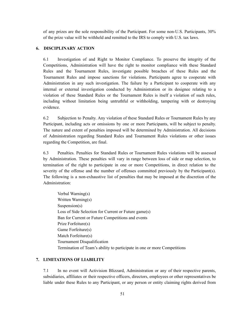of any prizes are the sole responsibility of the Participant. For some non-U.S. Participants, 30% of the prize value will be withheld and remitted to the IRS to comply with U.S. tax laws.

# **6. DISCIPLINARY ACTION**

6.1 Investigation of and Right to Monitor Compliance. To preserve the integrity of the Competitions, Administration will have the right to monitor compliance with these Standard Rules and the Tournament Rules, investigate possible breaches of these Rules and the Tournament Rules and impose sanctions for violations. Participants agree to cooperate with Administration in any such investigation. The failure by a Participant to cooperate with any internal or external investigation conducted by Administration or its designee relating to a violation of these Standard Rules or the Tournament Rules is itself a violation of such rules, including without limitation being untruthful or withholding, tampering with or destroying evidence.

6.2 Subjection to Penalty. Any violation of these Standard Rules or Tournament Rules by any Participant, including acts or omissions by one or more Participants, will be subject to penalty. The nature and extent of penalties imposed will be determined by Administration. All decisions of Administration regarding Standard Rules and Tournament Rules violations or other issues regarding the Competition, are final.

6.3 Penalties. Penalties for Standard Rules or Tournament Rules violations will be assessed by Administration. These penalties will vary in range between loss of side or map selection, to termination of the right to participate in one or more Competitions, in direct relation to the severity of the offense and the number of offenses committed previously by the Participant(s). The following is a non-exhaustive list of penalties that may be imposed at the discretion of the Administration:

Verbal Warning(s) Written Warning(s) Suspension(s) Loss of Side Selection for Current or Future game(s) Ban for Current or Future Competitions and events Prize Forfeiture(s) Game Forfeiture(s) Match Forfeiture(s) Tournament Disqualification Termination of Team's ability to participate in one or more Competitions

# **7. LIMITATIONS OF LIABILITY**

7.1 In no event will Activision Blizzard, Administration or any of their respective parents, subsidiaries, affiliates or their respective officers, directors, employees or other representatives be liable under these Rules to any Participant, or any person or entity claiming rights derived from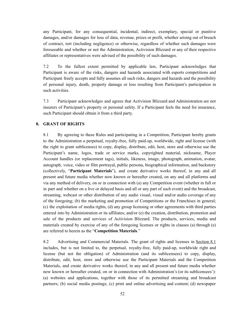any Participant, for any consequential, incidental, indirect, exemplary, special or punitive damages, and/or damages for loss of data, revenue, prizes or profit, whether arising out of breach of contract, tort (including negligence) or otherwise, regardless of whether such damages were foreseeable and whether or not the Administration, Activision Blizzard or any of their respective affiliates or representatives were advised of the possibility of such damages.

7.2 To the fullest extent permitted by applicable law, Participant acknowledges that Participant is aware of the risks, dangers and hazards associated with esports competitions and Participant freely accepts and fully assumes all such risks, dangers and hazards and the possibility of personal injury, death, property damage or loss resulting from Participant's participation in such activities.

7.3 Participant acknowledges and agrees that Activision Blizzard and Administration are not insurers of Participant's property or personal safety. If a Participant feels the need for insurance, such Participant should obtain it from a third party.

#### **8. GRANT OF RIGHTS**

8.1 By agreeing to these Rules and participating in a Competition, Participant hereby grants to the Administration a perpetual, royalty-free, fully paid-up, worldwide, right and license (with the right to grant sublicenses) to copy, display, distribute, edit, host, store and otherwise use the Participant's name, logos, trade or service marks, copyrighted material, nickname, Player Account handles (or replacement tags), initials, likeness, image, photograph, animation, avatar, autograph, voice, video or film portrayal, public persona, biographical information, and backstory (collectively, "**Participant Materials**"), and create derivative works thereof, in any and all present and future media whether now known or hereafter created, on any and all platforms and via any method of delivery, on or in connection with (a) any Competition event (whether in full or in part and whether on a live or delayed basis and all or any part of such event) and the broadcast, streaming, webcast or other distribution of any audio visual, visual and/or audio coverage of any of the foregoing; (b) the marketing and promotion of Competitions or the Franchises in general; (c) the exploitation of media rights, (d) any group licensing or other agreements with third parties entered into by Administration or its affiliates; and/or (e) the creation, distribution, promotion and sale of the products and services of Activision Blizzard. The products, services, media and materials created by exercise of any of the foregoing licenses or rights in clauses (a) through (e) are referred to herein as the "**Competition Materials**."

8.2 Advertising and Commercial Materials. The grant of rights and licenses in Section 8.1 includes, but is not limited to, the perpetual, royalty-free, fully paid-up, worldwide right and license (but not the obligation) of Administration (and its sublicensees) to copy, display, distribute, edit, host, store and otherwise use the Participant Materials and the Competition Materials, and create derivative works thereof, in any and all present and future media whether now known or hereafter created, on or in connection with Administration's (or its sublicensees'): (a) websites and applications, together with those of its permitted streaming and broadcast partners; (b) social media postings; (c) print and online advertising and content; (d) newspaper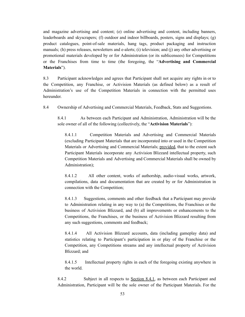and magazine advertising and content; (e) online advertising and content, including banners, leaderboards and skyscrapers; (f) outdoor and indoor billboards, posters, signs and displays; (g) product catalogues, point-of-sale materials, hang tags, product packaging and instruction manuals; (h) press releases, newsletters and e-alerts; (i) television; and (j) any other advertising or promotional materials developed by or for Administration (or its sublicensees) for Competitions or the Franchises from time to time (the foregoing, the "**Advertising and Commercial Materials**").

8.3 Participant acknowledges and agrees that Participant shall not acquire any rights in or to the Competition, any Franchise, or Activision Materials (as defined below) as a result of Administration's use of the Competition Materials in connection with the permitted uses hereunder.

8.4 Ownership of Advertising and Commercial Materials, Feedback, Stats and Suggestions.

8.4.1 As between each Participant and Administration, Administration will be the sole owner of all of the following (collectively, the "**Activision Materials**"):

8.4.1.1 Competition Materials and Advertising and Commercial Materials (excluding Participant Materials that are incorporated into or used in the Competition Materials or Advertising and Commercial Materials; provided, that to the extent such Participant Materials incorporate any Activision Blizzard intellectual property, such Competition Materials and Advertising and Commercial Materials shall be owned by Administration);

8.4.1.2 All other content, works of authorship, audio-visual works, artwork, compilations, data and documentation that are created by or for Administration in connection with the Competition;

8.4.1.3 Suggestions, comments and other feedback that a Participant may provide to Administration relating in any way to (a) the Competitions, the Franchises or the business of Activision Blizzard, and (b) all improvements or enhancements to the Competitions, the Franchises, or the business of Activision Blizzard resulting from any such suggestions, comments and feedback;

8.4.1.4 All Activision Blizzard accounts, data (including gameplay data) and statistics relating to Participant's participation in or play of the Franchise or the Competition, any Competitions streams and any intellectual property of Activision Blizzard; and

8.4.1.5 Intellectual property rights in each of the foregoing existing anywhere in the world.

8.4.2 Subject in all respects to Section 8.4.1, as between each Participant and Administration, Participant will be the sole owner of the Participant Materials. For the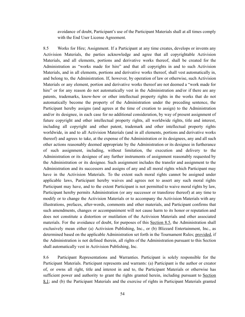avoidance of doubt, Participant's use of the Participant Materials shall at all times comply with the End User License Agreement.

8.5 Works for Hire; Assignment. If a Participant at any time creates, develops or invents any Activision Materials, the parties acknowledge and agree that all copyrightable Activision Materials, and all elements, portions and derivative works thereof, shall be created for the Administration as "works made for hire" and that all copyrights in and to such Activision Materials, and in all elements, portions and derivative works thereof, shall vest automatically in, and belong to, the Administration. If, however, by operation of law or otherwise, such Activision Materials or any element, portion and derivative works thereof are not deemed a "work made for hire" or for any reason do not automatically vest in the Administration and/or if there are any patents, trademarks, know-how or other intellectual property rights in the works that do not automatically become the property of the Administration under the preceding sentence, the Participant hereby assigns (and agrees at the time of creation to assign) to the Administration and/or its designee, in each case for no additional consideration, by way of present assignment of future copyright and other intellectual property rights, all worldwide rights, title and interest, including all copyright and other patent, trademark and other intellectual property rights worldwide, in and to all Activision Materials (and in all elements, portions and derivative works thereof) and agrees to take, at the expense of the Administration or its designees, any and all such other actions reasonably deemed appropriate by the Administration or its designee in furtherance of such assignment, including, without limitation, the execution and delivery to the Administration or its designee of any further instruments of assignment reasonably requested by the Administration or its designee. Such assignment includes the transfer and assignment to the Administration and its successors and assigns of any and all moral rights which Participant may have in the Activision Materials. To the extent such moral rights cannot be assigned under applicable laws, Participant hereby waives and agrees not to assert any such moral rights Participant may have, and to the extent Participant is not permitted to waive moral rights by law, Participant hereby permits Administration (or any successor or transferee thereof) at any time to modify or to change the Activision Materials or to accompany the Activision Materials with any illustrations, prefaces, after-words, comments and other materials, and Participant confirms that such amendments, changes or accompaniment will not cause harm to its honor or reputation and does not constitute a distortion or mutilation of the Activision Materials and other associated materials. For the avoidance of doubt, for purposes of this Section 8.5, the Administration shall exclusively mean either (a) Activision Publishing, Inc., or (b) Blizzard Entertainment, Inc., as determined based on the applicable Administration set forth in the Tournament Rules; provided, if the Administration is not defined therein, all rights of the Administration pursuant to this Section shall automatically vest in Activision Publishing, Inc.

8.6 Participant Representations and Warranties. Participant is solely responsible for the Participant Materials. Participant represents and warrants: (a) Participant is the author or creator of, or owns all right, title and interest in and to, the Participant Materials or otherwise has sufficient power and authority to grant the rights granted herein, including pursuant to Section 8.1; and (b) the Participant Materials and the exercise of rights in Participant Materials granted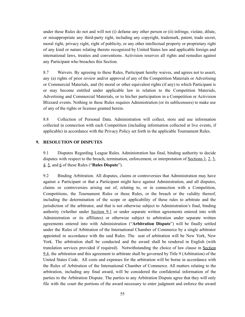under these Rules do not and will not (i) defame any other person or (ii) infringe, violate, dilute, or misappropriate any third-party right, including any copyright, trademark, patent, trade secret, moral right, privacy right, right of publicity, or any other intellectual property or proprietary right of any kind or nature relating thereto recognized by United States law and applicable foreign and international laws, treaties and conventions. Activision reserves all rights and remedies against any Participant who breaches this Section.

8.7 Waivers. By agreeing to these Rules, Participant hereby waives, and agrees not to assert, any (a) rights of prior review and/or approval of any of the Competition Materials or Advertising or Commercial Materials, and (b) moral or other equivalent rights (if any) to which Participant is or may become entitled under applicable law in relation to the Competition Materials, Advertising and Commercial Materials, or to his/her participation in a Competition or Activision Blizzard events. Nothing in these Rules requires Administration (or its sublicensees) to make use of any of the rights or licenses granted herein.

8.8 Collection of Personal Data. Administration will collect, store and use information collected in connection with each Competition (including information collected at live events, if applicable) in accordance with the Privacy Policy set forth in the applicable Tournament Rules.

### **9. RESOLUTION OF DISPUTES**

9.1 Disputes Regarding League Rules. Administration has final, binding authority to decide disputes with respect to the breach, termination, enforcement, or interpretation of Sections 1, 2, 3, 4, 5, and 6 of these Rules ("**Rules Dispute**").

9.2 Binding Arbitration. All disputes, claims or controversies that Administration may have against a Participant or that a Participant might have against Administration, and all disputes, claims or controversies arising out of, relating to, or in connection with a Competition, Competitions, the Tournament Rules or these Rules, or the breach or the validity thereof, including the determination of the scope or applicability of these rules to arbitrate and the jurisdiction of the arbitrator, and that is not otherwise subject to Administration's final, binding authority (whether under Section 9.1 or under separate written agreements entered into with Administration or its affiliates) or otherwise subject to arbitration under separate written agreements entered into with Administration ("**Arbitration Dispute**") will be finally settled under the Rules of Arbitration of the International Chamber of Commerce by a single arbitrator appointed in accordance with the said Rules. The seat of arbitration will be New York, New York. The arbitration shall be conducted and the award shall be rendered in English (with translation services provided if required). Notwithstanding the choice of law clause in Section 9.4, the arbitration and this agreement to arbitrate shall be governed by Title 9 (Arbitration) of the United States Code. All costs and expenses for the arbitration will be borne in accordance with the Rules of Arbitration of the International Chamber of Commerce. All matters relating to the arbitration, including any final award, will be considered the confidential information of the parties to the Arbitration Dispute. The parties to any Arbitration Dispute agree that they will only file with the court the portions of the award necessary to enter judgment and enforce the award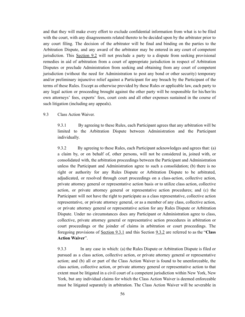and that they will make every effort to exclude confidential information from what is to be filed with the court, with any disagreements related thereto to be decided upon by the arbitrator prior to any court filing. The decision of the arbitrator will be final and binding on the parties to the Arbitration Dispute, and any award of the arbitrator may be entered in any court of competent jurisdiction. This Section 9.2 will not preclude a party to a dispute from seeking provisional remedies in aid of arbitration from a court of appropriate jurisdiction in respect of Arbitration Disputes or preclude Administration from seeking and obtaining from any court of competent jurisdiction (without the need for Administration to post any bond or other security) temporary and/or preliminary injunctive relief against a Participant for any breach by the Participant of the terms of these Rules. Except as otherwise provided by these Rules or applicable law, each party to any legal action or proceeding brought against the other party will be responsible for his/her/its own attorneys' fees, experts' fees, court costs and all other expenses sustained in the course of such litigation (including any appeals).

# 9.3 Class Action Waiver.

9.3.1 By agreeing to these Rules, each Participant agrees that any arbitration will be limited to the Arbitration Dispute between Administration and the Participant individually.

9.3.2 By agreeing to these Rules, each Participant acknowledges and agrees that: (a) a claim by, or on behalf of, other persons, will not be considered in, joined with, or consolidated with, the arbitration proceedings between the Participant and Administration unless the Participant and Administration agree to such a consolidation; (b) there is no right or authority for any Rules Dispute or Arbitration Dispute to be arbitrated, adjudicated, or resolved through court proceedings on a class-action, collective action, private attorney general or representative action basis or to utilize class action, collective action, or private attorney general or representative action procedures; and (c) the Participant will not have the right to participate as a class representative, collective action representative, or private attorney general, or as a member of any class, collective action, or private attorney general or representative action for any Rules Dispute or Arbitration Dispute. Under no circumstances does any Participant or Administration agree to class, collective, private attorney general or representative action procedures in arbitration or court proceedings or the joinder of claims in arbitration or court proceedings. The foregoing provisions of Section 9.3.1 and this Section 9.3.2 are referred to as the "**Class Action Waiver**".

9.3.3 In any case in which: (a) the Rules Dispute or Arbitration Dispute is filed or pursued as a class action, collective action, or private attorney general or representative action; and (b) all or part of the Class Action Waiver is found to be unenforceable, the class action, collective action, or private attorney general or representative action to that extent must be litigated in a civil court of a competent jurisdiction within New York, New York, but any individual claims for which the Class Action Waiver is deemed enforceable must be litigated separately in arbitration. The Class Action Waiver will be severable in